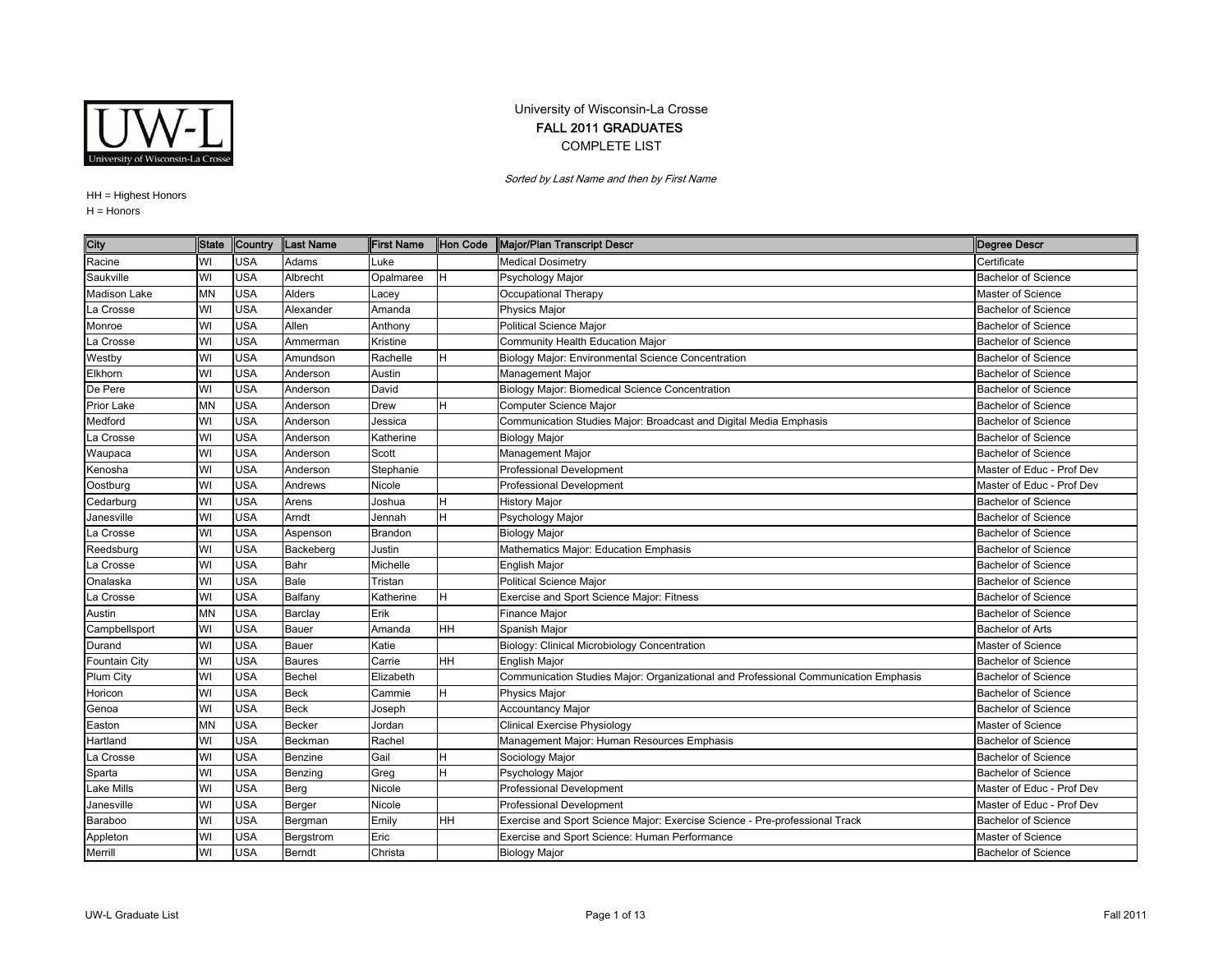

## University of Wisconsin-La Crosse FALL 2011 GRADUATES COMPLETE LIST

Sorted by Last Name and then by First Name

HH <sup>=</sup> Highest Honors

H = Honors

| City                | <b>State</b> | Country    | Last Name     | <b>First Name</b> | Hon Code  | Major/Plan Transcript Descr                                                         | <b>Degree Descr</b>        |
|---------------------|--------------|------------|---------------|-------------------|-----------|-------------------------------------------------------------------------------------|----------------------------|
| Racine              | WI           | USA        | Adams         | _uke              |           | <b>Medical Dosimetry</b>                                                            | Certificate                |
| Saukville           | WI           | <b>USA</b> | Albrecht      | Opalmaree         | H.        | Psychology Major                                                                    | <b>Bachelor of Science</b> |
| <b>Madison Lake</b> | <b>MN</b>    | <b>USA</b> | Alders        | _acey             |           | Occupational Therapy                                                                | Master of Science          |
| La Crosse           | WI           | USA        | Alexander     | Amanda            |           | Physics Major                                                                       | <b>Bachelor of Science</b> |
| Monroe              | WI           | <b>USA</b> | Allen         | Anthony           |           | <b>Political Science Major</b>                                                      | <b>Bachelor of Science</b> |
| La Crosse           | WI           | <b>USA</b> | Ammerman      | Kristine          |           | Community Health Education Major                                                    | <b>Bachelor of Science</b> |
| Westby              | WI           | <b>USA</b> | Amundson      | Rachelle          | н         | <b>Biology Major: Environmental Science Concentration</b>                           | <b>Bachelor of Science</b> |
| Elkhorn             | WI           | <b>USA</b> | Anderson      | Austin            |           | Management Major                                                                    | <b>Bachelor of Science</b> |
| De Pere             | WI           | <b>USA</b> | Anderson      | David             |           | Biology Major: Biomedical Science Concentration                                     | <b>Bachelor of Science</b> |
| Prior Lake          | <b>MN</b>    | <b>USA</b> | Anderson      | Drew              | H.        | Computer Science Major                                                              | <b>Bachelor of Science</b> |
| Medford             | WI           | <b>USA</b> | Anderson      | Jessica           |           | Communication Studies Major: Broadcast and Digital Media Emphasis                   | <b>Bachelor of Science</b> |
| La Crosse           | WI           | <b>USA</b> | Anderson      | Katherine         |           | <b>Biology Major</b>                                                                | <b>Bachelor of Science</b> |
| Waupaca             | WI           | <b>USA</b> | Anderson      | Scott             |           | Management Major                                                                    | <b>Bachelor of Science</b> |
| Kenosha             | WI           | <b>USA</b> | Anderson      | Stephanie         |           | Professional Development                                                            | Master of Educ - Prof Dev  |
| Oostburg            | WI           | <b>USA</b> | Andrews       | Nicole            |           | <b>Professional Development</b>                                                     | Master of Educ - Prof Dev  |
| Cedarburg           | WI           | <b>USA</b> | Arens         | Joshua            |           | <b>History Major</b>                                                                | <b>Bachelor of Science</b> |
| Janesville          | WI           | <b>USA</b> | Arndt         | Jennah            | н         | Psychology Major                                                                    | <b>Bachelor of Science</b> |
| La Crosse           | WI           | <b>USA</b> | Aspenson      | Brandon           |           | <b>Biology Major</b>                                                                | <b>Bachelor of Science</b> |
| Reedsburg           | WI           | <b>USA</b> | Backeberg     | Justin            |           | Mathematics Major: Education Emphasis                                               | <b>Bachelor of Science</b> |
| La Crosse           | WI           | <b>USA</b> | Bahr          | Michelle          |           | <b>English Major</b>                                                                | <b>Bachelor of Science</b> |
| Onalaska            | WI           | <b>USA</b> | Bale          | Tristan           |           | <b>Political Science Major</b>                                                      | <b>Bachelor of Science</b> |
| a Crosse            | WI           | <b>USA</b> | Balfany       | Katherine         | H         | Exercise and Sport Science Major: Fitness                                           | <b>Bachelor of Science</b> |
| Austin              | <b>MN</b>    | <b>USA</b> | Barclay       | Erik              |           | Finance Major                                                                       | <b>Bachelor of Science</b> |
| Campbellsport       | WI           | <b>USA</b> | Bauer         | Amanda            | <b>HH</b> | Spanish Major                                                                       | <b>Bachelor of Arts</b>    |
| Durand              | WI           | <b>USA</b> | Bauer         | Katie             |           | Biology: Clinical Microbiology Concentration                                        | Master of Science          |
| Fountain City       | WI           | <b>USA</b> | Baures        | Carrie            | <b>HH</b> | <b>English Major</b>                                                                | <b>Bachelor of Science</b> |
| Plum City           | WI           | <b>USA</b> | Bechel        | Elizabeth         |           | Communication Studies Major: Organizational and Professional Communication Emphasis | <b>Bachelor of Science</b> |
| Horicon             | WI           | <b>USA</b> | Beck          | Cammie            | H         | Physics Major                                                                       | <b>Bachelor of Science</b> |
| Genoa               | WI           | <b>USA</b> | <b>Beck</b>   | Joseph            |           | <b>Accountancy Major</b>                                                            | <b>Bachelor of Science</b> |
| Easton              | <b>MN</b>    | <b>USA</b> | Becker        | Jordan            |           | <b>Clinical Exercise Physiology</b>                                                 | Master of Science          |
| Hartland            | WI           | <b>USA</b> | Beckman       | Rachel            |           | Management Major: Human Resources Emphasis                                          | <b>Bachelor of Science</b> |
| a Crosse            | WI           | <b>USA</b> | Benzine       | Gail              | н         | Sociology Major                                                                     | <b>Bachelor of Science</b> |
| Sparta              | WI           | <b>USA</b> | Benzing       | Greg              | н         | Psychology Major                                                                    | <b>Bachelor of Science</b> |
| Lake Mills          | WI           | <b>USA</b> | Berg          | Nicole            |           | Professional Development                                                            | Master of Educ - Prof Dev  |
| Janesville          | WI           | <b>USA</b> | Berger        | Nicole            |           | <b>Professional Development</b>                                                     | Master of Educ - Prof Dev  |
| Baraboo             | WI           | <b>USA</b> | Bergman       | Emily             | HH        | Exercise and Sport Science Major: Exercise Science - Pre-professional Track         | <b>Bachelor of Science</b> |
| Appleton            | WI           | <b>USA</b> | Bergstrom     | Eric              |           | Exercise and Sport Science: Human Performance                                       | Master of Science          |
| Merrill             | WI           | <b>USA</b> | <b>Berndt</b> | Christa           |           | <b>Biology Major</b>                                                                | <b>Bachelor of Science</b> |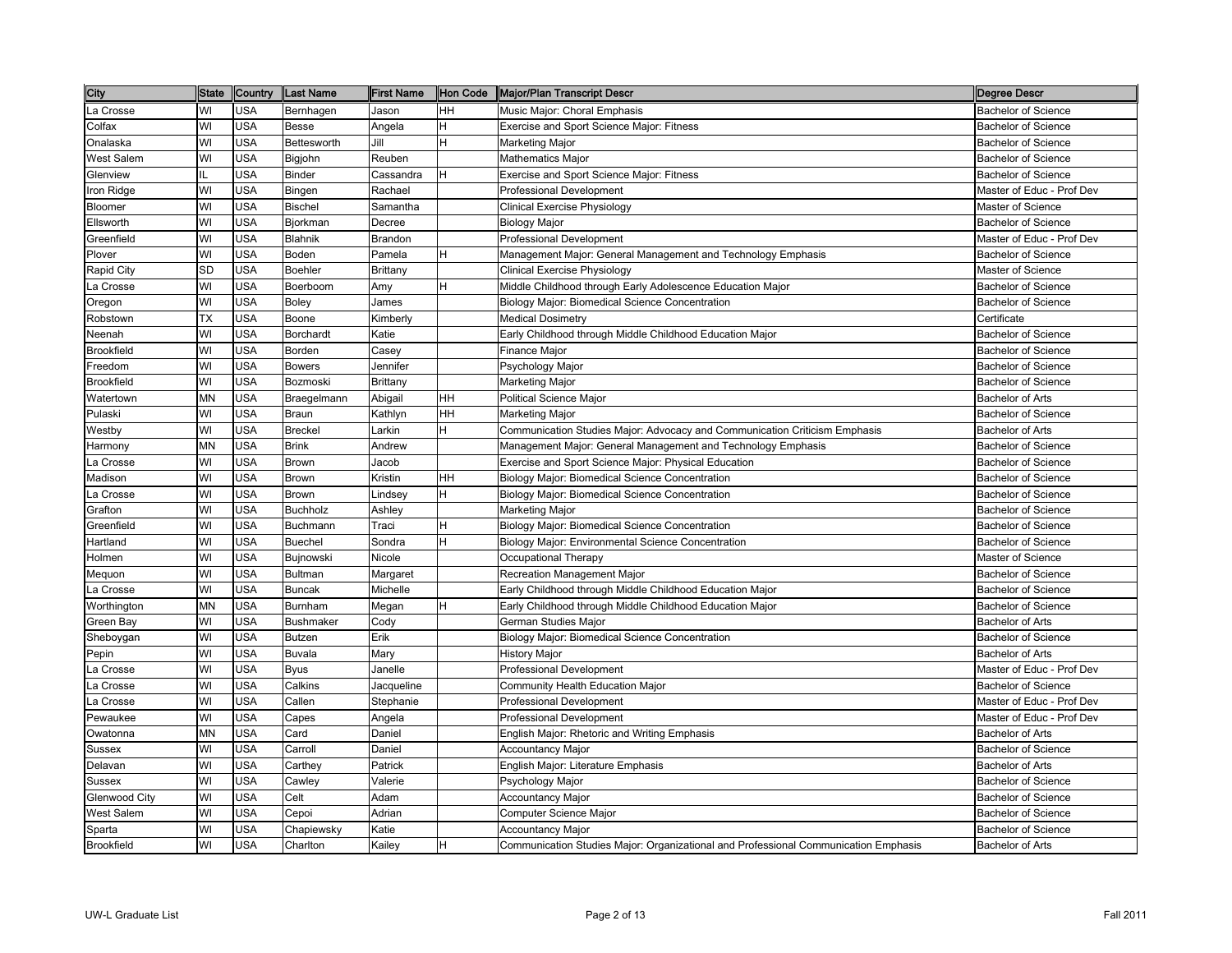| <b>City</b>       | <b>State</b> | Country    | <b>Last Name</b> | <b>First Name</b> | Hon Code | Major/Plan Transcript Descr                                                         | Degree Descr               |
|-------------------|--------------|------------|------------------|-------------------|----------|-------------------------------------------------------------------------------------|----------------------------|
| La Crosse         | WI           | USA        | Bernhagen        | Jason             | HH       | Music Major: Choral Emphasis                                                        | <b>Bachelor of Science</b> |
| Colfax            | WI           | <b>USA</b> | Besse            | Angela            | H        | Exercise and Sport Science Major: Fitness                                           | <b>Bachelor of Science</b> |
| Onalaska          | WI           | <b>USA</b> | Bettesworth      | Jill              | H        | Marketing Major                                                                     | <b>Bachelor of Science</b> |
| West Salem        | WI           | <b>USA</b> | Bigjohn          | Reuben            |          | <b>Mathematics Major</b>                                                            | <b>Bachelor of Science</b> |
| Glenview          | IL           | <b>USA</b> | <b>Binder</b>    | Cassandra         | H        | Exercise and Sport Science Major: Fitness                                           | <b>Bachelor of Science</b> |
| Iron Ridge        | WI           | USA        | Bingen           | Rachael           |          | <b>Professional Development</b>                                                     | Master of Educ - Prof Dev  |
| Bloomer           | WI           | <b>USA</b> | <b>Bischel</b>   | Samantha          |          | Clinical Exercise Physiology                                                        | <b>Master of Science</b>   |
| Ellsworth         | WI           | USA        | Bjorkman         | Decree            |          | <b>Biology Major</b>                                                                | <b>Bachelor of Science</b> |
| Greenfield        | WI           | <b>USA</b> | <b>Blahnik</b>   | Brandon           |          | Professional Development                                                            | Master of Educ - Prof Dev  |
| Plover            | WI           | <b>USA</b> | Boden            | Pamela            | H        | Management Major: General Management and Technology Emphasis                        | <b>Bachelor of Science</b> |
| Rapid City        | <b>SD</b>    | <b>USA</b> | <b>Boehler</b>   | Brittany          |          | Clinical Exercise Physiology                                                        | Master of Science          |
| La Crosse         | WI           | <b>USA</b> | Boerboom         | Amy               | H        | Middle Childhood through Early Adolescence Education Major                          | <b>Bachelor of Science</b> |
| Oregon            | WI           | <b>USA</b> | Boley            | James             |          | Biology Major: Biomedical Science Concentration                                     | <b>Bachelor of Science</b> |
| Robstown          | ТX           | <b>USA</b> | Boone            | Kimberly          |          | <b>Medical Dosimetry</b>                                                            | Certificate                |
| Neenah            | WI           | USA        | Borchardt        | Katie             |          | Early Childhood through Middle Childhood Education Major                            | <b>Bachelor of Science</b> |
| <b>Brookfield</b> | WI           | <b>USA</b> | Borden           | Casey             |          | Finance Major                                                                       | <b>Bachelor of Science</b> |
| Freedom           | WI           | USA        | <b>Bowers</b>    | Jennifer          |          | Psychology Major                                                                    | <b>Bachelor of Science</b> |
| <b>Brookfield</b> | WI           | <b>USA</b> | Bozmoski         | Brittany          |          | Marketing Major                                                                     | <b>Bachelor of Science</b> |
| Watertown         | <b>MN</b>    | <b>USA</b> | Braegelmann      | Abigail           | HH       | Political Science Major                                                             | Bachelor of Arts           |
| Pulaski           | WI           | USA        | Braun            | Kathlyn           | HH       | Marketing Major                                                                     | <b>Bachelor of Science</b> |
| Westby            | WI           | <b>USA</b> | <b>Breckel</b>   | Larkin            | H        | Communication Studies Major: Advocacy and Communication Criticism Emphasis          | <b>Bachelor of Arts</b>    |
| Harmony           | <b>MN</b>    | <b>USA</b> | <b>Brink</b>     | Andrew            |          | Management Major: General Management and Technology Emphasis                        | <b>Bachelor of Science</b> |
| La Crosse         | WI           | <b>USA</b> | Brown            | Jacob             |          | Exercise and Sport Science Major: Physical Education                                | <b>Bachelor of Science</b> |
| Madison           | WI           | <b>USA</b> | Brown            | Kristin           | HH       | Biology Major: Biomedical Science Concentration                                     | <b>Bachelor of Science</b> |
| La Crosse         | WI           | <b>USA</b> | Brown            | _indsey           | H        | Biology Major: Biomedical Science Concentration                                     | <b>Bachelor of Science</b> |
| Grafton           | WI           | <b>USA</b> | <b>Buchholz</b>  | Ashley            |          | Marketing Major                                                                     | <b>Bachelor of Science</b> |
| Greenfield        | WI           | <b>USA</b> | Buchmann         | Traci             | H        | Biology Major: Biomedical Science Concentration                                     | <b>Bachelor of Science</b> |
| Hartland          | WI           | <b>USA</b> | <b>Buechel</b>   | Sondra            | H        | Biology Major: Environmental Science Concentration                                  | <b>Bachelor of Science</b> |
| Holmen            | WI           | <b>USA</b> | Bujnowski        | Nicole            |          | Occupational Therapy                                                                | <b>Master of Science</b>   |
| Mequon            | WI           | <b>USA</b> | Bultman          | Margaret          |          | Recreation Management Major                                                         | <b>Bachelor of Science</b> |
| La Crosse         | WI           | <b>USA</b> | Buncak           | Michelle          |          | Early Childhood through Middle Childhood Education Major                            | <b>Bachelor of Science</b> |
| Worthington       | <b>MN</b>    | <b>USA</b> | Burnham          | Megan             | lH.      | Early Childhood through Middle Childhood Education Major                            | <b>Bachelor of Science</b> |
| Green Bay         | WI           | USA        | Bushmaker        | Cody              |          | German Studies Major                                                                | <b>Bachelor of Arts</b>    |
| Sheboygan         | WI           | <b>USA</b> | Butzen           | Erik              |          | Biology Major: Biomedical Science Concentration                                     | <b>Bachelor of Science</b> |
| Pepin             | WI           | <b>USA</b> | Buvala           | Mary              |          | <b>History Major</b>                                                                | <b>Bachelor of Arts</b>    |
| La Crosse         | WI           | <b>USA</b> | Byus             | Janelle           |          | <b>Professional Development</b>                                                     | Master of Educ - Prof Dev  |
| La Crosse         | WI           | USA        | Calkins          | Jacqueline        |          | Community Health Education Major                                                    | <b>Bachelor of Science</b> |
| La Crosse         | WI           | USA        | Callen           | Stephanie         |          | <b>Professional Development</b>                                                     | Master of Educ - Prof Dev  |
| Pewaukee          | WI           | <b>USA</b> | Capes            | Angela            |          | <b>Professional Development</b>                                                     | Master of Educ - Prof Dev  |
| Owatonna          | <b>MN</b>    | USA        | Card             | Daniel            |          | English Major: Rhetoric and Writing Emphasis                                        | <b>Bachelor of Arts</b>    |
| Sussex            | WI           | <b>USA</b> | Carroll          | Daniel            |          | Accountancy Major                                                                   | <b>Bachelor of Science</b> |
| Delavan           | WI           | <b>USA</b> | Carthey          | Patrick           |          | English Major: Literature Emphasis                                                  | <b>Bachelor of Arts</b>    |
| Sussex            | WI           | <b>USA</b> | Cawley           | Valerie           |          | Psychology Major                                                                    | <b>Bachelor of Science</b> |
| Glenwood City     | WI           | <b>USA</b> | Celt             | Adam              |          | <b>Accountancy Major</b>                                                            | <b>Bachelor of Science</b> |
| West Salem        | WI           | USA        | Cepoi            | Adrian            |          | Computer Science Major                                                              | <b>Bachelor of Science</b> |
| Sparta            | WI           | USA        | Chapiewsky       | Katie             |          | <b>Accountancy Major</b>                                                            | <b>Bachelor of Science</b> |
| <b>Brookfield</b> | WI           | <b>USA</b> | Charlton         | Kailey            | H        | Communication Studies Major: Organizational and Professional Communication Emphasis | Bachelor of Arts           |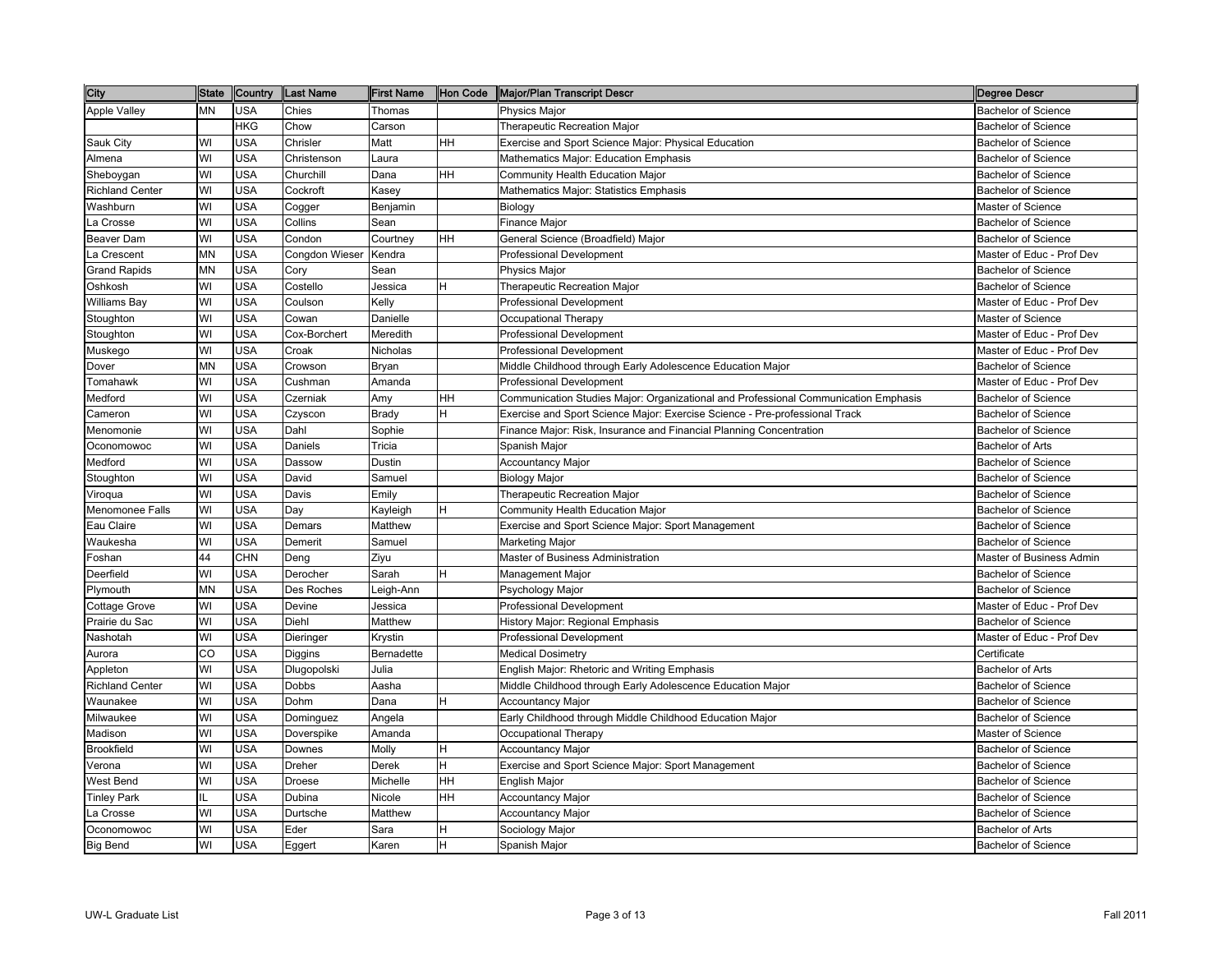| City                   | <b>State</b> | Country    | Last Name      | First Name   | Hon Code | Major/Plan Transcript Descr                                                         | Degree Descr               |
|------------------------|--------------|------------|----------------|--------------|----------|-------------------------------------------------------------------------------------|----------------------------|
| <b>Apple Valley</b>    | <b>MN</b>    | <b>USA</b> | Chies          | Thomas       |          | <b>Physics Major</b>                                                                | <b>Bachelor of Science</b> |
|                        |              | <b>HKG</b> | Chow           | Carson       |          | Therapeutic Recreation Major                                                        | <b>Bachelor of Science</b> |
| Sauk City              | WI           | <b>USA</b> | Chrisler       | Matt         | HН       | Exercise and Sport Science Major: Physical Education                                | <b>Bachelor of Science</b> |
| Almena                 | WI           | <b>USA</b> | Christenson    | Laura        |          | Mathematics Major: Education Emphasis                                               | <b>Bachelor of Science</b> |
| Sheboygan              | WI           | <b>USA</b> | Churchill      | Dana         | HН       | Community Health Education Major                                                    | <b>Bachelor of Science</b> |
| <b>Richland Center</b> | WI           | <b>USA</b> | Cockroft       | Kasey        |          | Mathematics Major: Statistics Emphasis                                              | <b>Bachelor of Science</b> |
| Washburn               | WI           | <b>USA</b> | Cogger         | Benjamin     |          | Biology                                                                             | Master of Science          |
| La Crosse              | WI           | <b>USA</b> | Collins        | Sean         |          | <b>Finance Major</b>                                                                | <b>Bachelor of Science</b> |
| Beaver Dam             | WI           | <b>USA</b> | Condon         | Courtney     | HН       | General Science (Broadfield) Major                                                  | <b>Bachelor of Science</b> |
| La Crescent            | <b>MN</b>    | <b>USA</b> | Congdon Wieser | Kendra       |          | <b>Professional Development</b>                                                     | Master of Educ - Prof Dev  |
| <b>Grand Rapids</b>    | <b>MN</b>    | <b>USA</b> | Cory           | Sean         |          | Physics Major                                                                       | <b>Bachelor of Science</b> |
| Oshkosh                | WI           | <b>USA</b> | Costello       | Jessica      |          | Therapeutic Recreation Major                                                        | <b>Bachelor of Science</b> |
| Williams Bay           | WI           | <b>USA</b> | Coulson        | Kelly        |          | Professional Development                                                            | Master of Educ - Prof Dev  |
| Stoughton              | WI           | <b>USA</b> | Cowan          | Danielle     |          | Occupational Therapy                                                                | Master of Science          |
| Stoughton              | WI           | <b>USA</b> | Cox-Borchert   | Meredith     |          | <b>Professional Development</b>                                                     | Master of Educ - Prof Dev  |
| Muskego                | WI           | <b>USA</b> | Croak          | Nicholas     |          | <b>Professional Development</b>                                                     | Master of Educ - Prof Dev  |
| Dover                  | <b>MN</b>    | <b>USA</b> | Crowson        | Bryan        |          | Middle Childhood through Early Adolescence Education Major                          | <b>Bachelor of Science</b> |
| Tomahawk               | WI           | <b>USA</b> | Cushman        | Amanda       |          | <b>Professional Development</b>                                                     | Master of Educ - Prof Dev  |
| Medford                | WI           | <b>USA</b> | Czerniak       | Amy          | HН       | Communication Studies Major: Organizational and Professional Communication Emphasis | <b>Bachelor of Science</b> |
| Cameron                | WI           | <b>USA</b> | Czyscon        | <b>Brady</b> |          | Exercise and Sport Science Major: Exercise Science - Pre-professional Track         | <b>Bachelor of Science</b> |
| Menomonie              | WI           | <b>USA</b> | Dahl           | Sophie       |          | Finance Major: Risk, Insurance and Financial Planning Concentration                 | <b>Bachelor of Science</b> |
| Oconomowoc             | WI           | <b>USA</b> | Daniels        | Tricia       |          | Spanish Major                                                                       | <b>Bachelor of Arts</b>    |
| Medford                | WI           | <b>USA</b> | Dassow         | Dustin       |          | <b>Accountancy Major</b>                                                            | <b>Bachelor of Science</b> |
| Stoughton              | WI           | <b>USA</b> | David          | Samuel       |          | Biology Major                                                                       | <b>Bachelor of Science</b> |
| Viroqua                | WI           | <b>USA</b> | Davis          | Emily        |          | Therapeutic Recreation Major                                                        | <b>Bachelor of Science</b> |
| Menomonee Falls        | WI           | <b>USA</b> | Day            | Kayleigh     | н        | Community Health Education Major                                                    | <b>Bachelor of Science</b> |
| Eau Claire             | WI           | <b>USA</b> | Demars         | Matthew      |          | Exercise and Sport Science Major: Sport Management                                  | Bachelor of Science        |
| Waukesha               | WI           | <b>USA</b> | Demerit        | Samuel       |          | Marketing Major                                                                     | <b>Bachelor of Science</b> |
| Foshan                 | 44           | <b>CHN</b> | Deng           | Ziyu         |          | Master of Business Administration                                                   | Master of Business Admin   |
| Deerfield              | WI           | <b>USA</b> | Derocher       | Sarah        |          | Management Major                                                                    | <b>Bachelor of Science</b> |
| Plymouth               | <b>MN</b>    | <b>USA</b> | Des Roches     | Leigh-Ann    |          | Psychology Major                                                                    | <b>Bachelor of Science</b> |
| <b>Cottage Grove</b>   | WI           | <b>USA</b> | Devine         | Jessica      |          | <b>Professional Development</b>                                                     | Master of Educ - Prof Dev  |
| Prairie du Sac         | WI           | <b>USA</b> | Diehl          | Matthew      |          | History Major: Regional Emphasis                                                    | <b>Bachelor of Science</b> |
| Nashotah               | WI           | <b>USA</b> | Dieringer      | Krystin      |          | <b>Professional Development</b>                                                     | Master of Educ - Prof Dev  |
| Aurora                 | CO           | <b>USA</b> | Diggins        | Bernadette   |          | <b>Medical Dosimetry</b>                                                            | Certificate                |
| Appleton               | WI           | <b>USA</b> | Dlugopolski    | Julia        |          | English Major: Rhetoric and Writing Emphasis                                        | <b>Bachelor of Arts</b>    |
| <b>Richland Center</b> | WI           | <b>USA</b> | <b>Dobbs</b>   | Aasha        |          | Middle Childhood through Early Adolescence Education Major                          | <b>Bachelor of Science</b> |
| Waunakee               | WI           | <b>USA</b> | Dohm           | Dana         |          | Accountancy Major                                                                   | <b>Bachelor of Science</b> |
| Milwaukee              | WI           | <b>USA</b> | Dominguez      | Angela       |          | Early Childhood through Middle Childhood Education Major                            | <b>Bachelor of Science</b> |
| Madison                | WI           | <b>USA</b> | Doverspike     | Amanda       |          | Occupational Therapy                                                                | Master of Science          |
| Brookfield             | WI           | <b>USA</b> | Downes         | Molly        | H        | <b>Accountancy Major</b>                                                            | <b>Bachelor of Science</b> |
| Verona                 | WI           | <b>USA</b> | Dreher         | Derek        | Η        | Exercise and Sport Science Major: Sport Management                                  | <b>Bachelor of Science</b> |
| West Bend              | WI           | <b>USA</b> | Droese         | Michelle     | HH       | English Major                                                                       | <b>Bachelor of Science</b> |
| <b>Tinley Park</b>     | IL           | <b>USA</b> | Dubina         | Nicole       | HН       | <b>Accountancy Major</b>                                                            | <b>Bachelor of Science</b> |
| La Crosse              | WI           | <b>USA</b> | Durtsche       | Matthew      |          | <b>Accountancy Major</b>                                                            | <b>Bachelor of Science</b> |
| Oconomowoc             | WI           | <b>USA</b> | Eder           | Sara         | н        | Sociology Major                                                                     | <b>Bachelor of Arts</b>    |
| <b>Big Bend</b>        | WI           | <b>USA</b> | Eggert         | Karen        | H        | Spanish Major                                                                       | <b>Bachelor of Science</b> |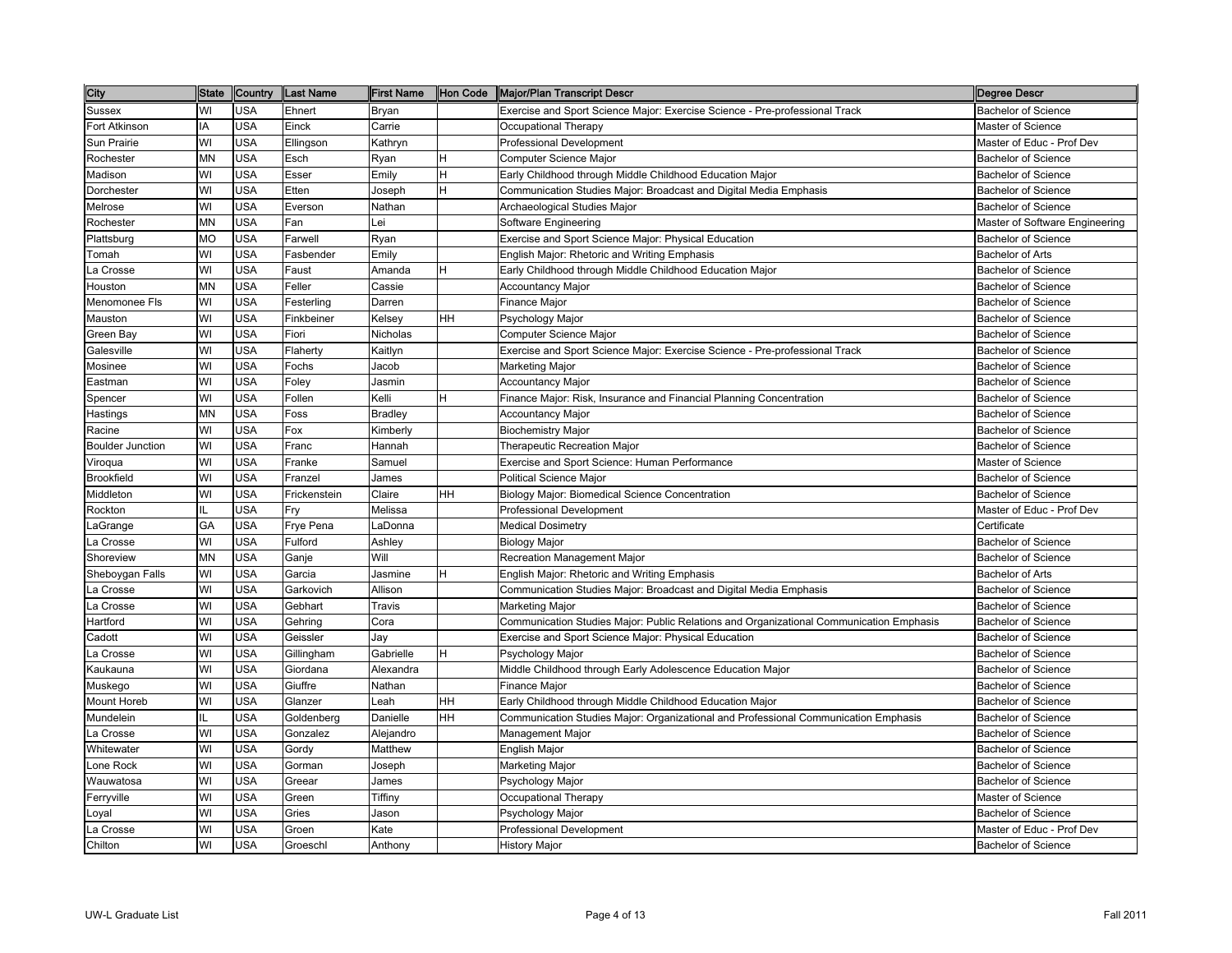| City                    | <b>State</b> | Country    | <b>Last Name</b> | <b>First Name</b> | Hon Code | Major/Plan Transcript Descr                                                             | <b>Degree Descr</b>            |
|-------------------------|--------------|------------|------------------|-------------------|----------|-----------------------------------------------------------------------------------------|--------------------------------|
| <b>Sussex</b>           | WI           | <b>USA</b> | Ehnert           | Bryan             |          | Exercise and Sport Science Major: Exercise Science - Pre-professional Track             | <b>Bachelor of Science</b>     |
| Fort Atkinson           | IA           | <b>USA</b> | Einck            | Carrie            |          | Occupational Therapy                                                                    | Master of Science              |
| Sun Prairie             | WI           | <b>USA</b> | Ellingson        | Kathryn           |          | <b>Professional Development</b>                                                         | Master of Educ - Prof Dev      |
| Rochester               | <b>MN</b>    | <b>USA</b> | Esch             | Ryan              | н        | Computer Science Major                                                                  | <b>Bachelor of Science</b>     |
| Madison                 | WI           | <b>USA</b> | Esser            | Emily             | H        | Early Childhood through Middle Childhood Education Major                                | <b>Bachelor of Science</b>     |
| Dorchester              | WI           | <b>USA</b> | Etten            | Joseph            | H        | Communication Studies Major: Broadcast and Digital Media Emphasis                       | <b>Bachelor of Science</b>     |
| Melrose                 | WI           | <b>USA</b> | Everson          | Nathan            |          | Archaeological Studies Major                                                            | <b>Bachelor of Science</b>     |
| Rochester               | <b>MN</b>    | <b>USA</b> | Fan              | ei.               |          | Software Engineering                                                                    | Master of Software Engineering |
| Plattsburg              | <b>MO</b>    | <b>USA</b> | Farwell          | Ryan              |          | Exercise and Sport Science Major: Physical Education                                    | <b>Bachelor of Science</b>     |
| Tomah                   | WI           | <b>USA</b> | Fasbender        | Emily             |          | English Major: Rhetoric and Writing Emphasis                                            | <b>Bachelor of Arts</b>        |
| La Crosse               | WI           | <b>USA</b> | Faust            | Amanda            | н        | Early Childhood through Middle Childhood Education Major                                | <b>Bachelor of Science</b>     |
| Houston                 | <b>MN</b>    | <b>USA</b> | Feller           | Cassie            |          | Accountancy Major                                                                       | <b>Bachelor of Science</b>     |
| Menomonee Fls           | WI           | <b>USA</b> | Festerling       | Darren            |          | Finance Major                                                                           | <b>Bachelor of Science</b>     |
| Mauston                 | WI           | <b>USA</b> | Finkbeiner       | Kelsey            | HН       | Psychology Major                                                                        | <b>Bachelor of Science</b>     |
| Green Bay               | WI           | <b>USA</b> | Fiori            | Nicholas          |          | Computer Science Major                                                                  | <b>Bachelor of Science</b>     |
| Galesville              | WI           | <b>USA</b> | Flaherty         | Kaitlyn           |          | Exercise and Sport Science Major: Exercise Science - Pre-professional Track             | <b>Bachelor of Science</b>     |
| Mosinee                 | WI           | <b>USA</b> | Fochs            | Jacob             |          | Marketing Major                                                                         | <b>Bachelor of Science</b>     |
| Eastman                 | WI           | <b>USA</b> | Foley            | Jasmin            |          | <b>Accountancy Major</b>                                                                | <b>Bachelor of Science</b>     |
| Spencer                 | WI           | <b>USA</b> | Follen           | Kelli             |          | Finance Major: Risk, Insurance and Financial Planning Concentration                     | <b>Bachelor of Science</b>     |
| Hastings                | MN           | <b>USA</b> | Foss             | <b>Bradley</b>    |          | Accountancy Major                                                                       | <b>Bachelor of Science</b>     |
| Racine                  | WI           | <b>USA</b> | Fox              | Kimberly          |          | <b>Biochemistry Major</b>                                                               | <b>Bachelor of Science</b>     |
| <b>Boulder Junction</b> | WI           | <b>USA</b> | Franc            | Hannah            |          | <b>Therapeutic Recreation Major</b>                                                     | Bachelor of Science            |
| Viroqua                 | WI           | <b>USA</b> | Franke           | Samuel            |          | Exercise and Sport Science: Human Performance                                           | Master of Science              |
| <b>Brookfield</b>       | WI           | <b>USA</b> | Franzel          | James             |          | Political Science Major                                                                 | <b>Bachelor of Science</b>     |
| Middleton               | WI           | <b>USA</b> | Frickenstein     | Claire            | HH       | Biology Major: Biomedical Science Concentration                                         | <b>Bachelor of Science</b>     |
| Rockton                 | IL           | <b>USA</b> | Fry              | Melissa           |          | <b>Professional Development</b>                                                         | Master of Educ - Prof Dev      |
| LaGrange                | GA           | <b>USA</b> | Frye Pena        | .aDonna           |          | <b>Medical Dosimetry</b>                                                                | Certificate                    |
| La Crosse               | WI           | <b>USA</b> | Fulford          | Ashley            |          | <b>Biology Major</b>                                                                    | <b>Bachelor of Science</b>     |
| Shoreview               | <b>MN</b>    | <b>USA</b> | Ganje            | Will              |          | Recreation Management Major                                                             | <b>Bachelor of Science</b>     |
| Sheboygan Falls         | WI           | <b>USA</b> | Garcia           | Jasmine           |          | English Major: Rhetoric and Writing Emphasis                                            | <b>Bachelor of Arts</b>        |
| La Crosse               | WI           | <b>USA</b> | Garkovich        | Allison           |          | Communication Studies Major: Broadcast and Digital Media Emphasis                       | <b>Bachelor of Science</b>     |
| La Crosse               | WI           | <b>USA</b> | Gebhart          | Travis            |          | <b>Marketing Major</b>                                                                  | <b>Bachelor of Science</b>     |
| Hartford                | WI           | <b>USA</b> | Gehring          | Cora              |          | Communication Studies Major: Public Relations and Organizational Communication Emphasis | <b>Bachelor of Science</b>     |
| Cadott                  | WI           | <b>USA</b> | Geissler         | Jav               |          | Exercise and Sport Science Major: Physical Education                                    | <b>Bachelor of Science</b>     |
| La Crosse               | WI           | <b>USA</b> | Gillingham       | Gabrielle         | н        | Psychology Major                                                                        | <b>Bachelor of Science</b>     |
| Kaukauna                | WI           | <b>USA</b> | Giordana         | Alexandra         |          | Middle Childhood through Early Adolescence Education Major                              | <b>Bachelor of Science</b>     |
| Muskego                 | WI           | <b>USA</b> | Giuffre          | Nathan            |          | <b>Finance Major</b>                                                                    | <b>Bachelor of Science</b>     |
| <b>Mount Horeb</b>      | WI           | <b>USA</b> | Glanzer          | .eah              | HН       | Early Childhood through Middle Childhood Education Major                                | <b>Bachelor of Science</b>     |
| Mundelein               | IL           | <b>USA</b> | Goldenberg       | Danielle          | HН       | Communication Studies Major: Organizational and Professional Communication Emphasis     | <b>Bachelor of Science</b>     |
| La Crosse               | WI           | <b>USA</b> | Gonzalez         | Alejandro         |          | Management Major                                                                        | <b>Bachelor of Science</b>     |
| Whitewater              | WI           | <b>USA</b> | Gordy            | Matthew           |          | English Major                                                                           | <b>Bachelor of Science</b>     |
| Lone Rock               | WI           | <b>USA</b> | Gorman           | Joseph            |          | Marketing Major                                                                         | <b>Bachelor of Science</b>     |
| Wauwatosa               | WI           | <b>USA</b> | Greear           | James             |          | Psychology Major                                                                        | <b>Bachelor of Science</b>     |
| Ferryville              | WI           | <b>USA</b> | Green            | Tiffiny           |          | Occupational Therapy                                                                    | Master of Science              |
| Loyal                   | WI           | <b>USA</b> | Gries            | Jason             |          | Psychology Major                                                                        | <b>Bachelor of Science</b>     |
| La Crosse               | WI           | <b>USA</b> | Groen            | Kate              |          | <b>Professional Development</b>                                                         | Master of Educ - Prof Dev      |
| Chilton                 | WI           | <b>USA</b> | Groeschl         | Anthony           |          | <b>History Major</b>                                                                    | <b>Bachelor of Science</b>     |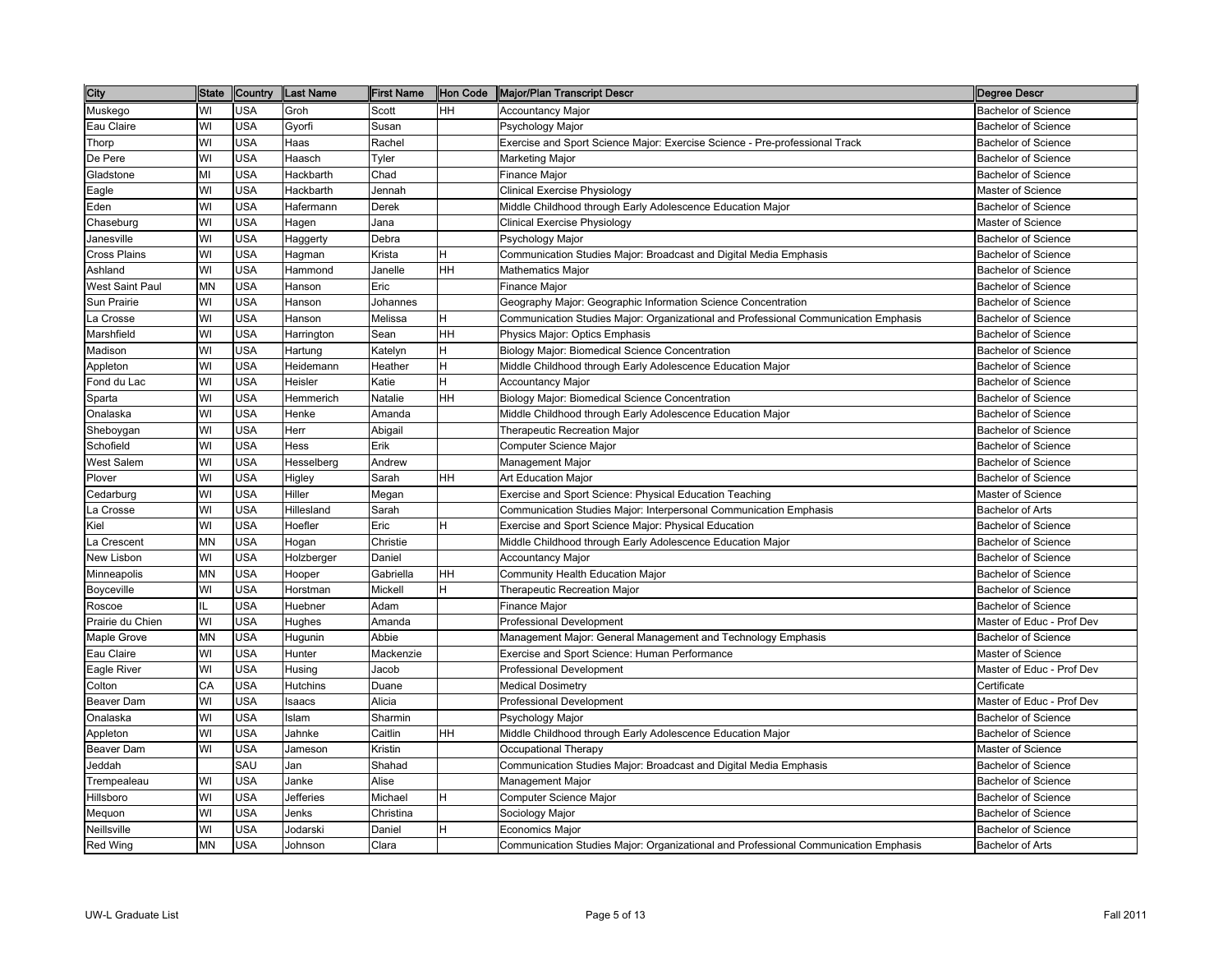| City             | State | <b>Country</b> | <b>Last Name</b> | <b>First Name</b> | Hon Code | Major/Plan Transcript Descr                                                         | Degree Descr               |
|------------------|-------|----------------|------------------|-------------------|----------|-------------------------------------------------------------------------------------|----------------------------|
| Muskego          | WI    | <b>USA</b>     | Groh             | Scott             | HН       | <b>Accountancy Major</b>                                                            | <b>Bachelor of Science</b> |
| Eau Claire       | WI    | <b>USA</b>     | Gyorfi           | Susan             |          | Psychology Major                                                                    | <b>Bachelor of Science</b> |
| Thorp            | WI    | <b>USA</b>     | Haas             | Rachel            |          | Exercise and Sport Science Major: Exercise Science - Pre-professional Track         | <b>Bachelor of Science</b> |
| De Pere          | WI    | <b>USA</b>     | Haasch           | Tyler             |          | Marketing Major                                                                     | <b>Bachelor of Science</b> |
| Gladstone        | MI    | <b>USA</b>     | Hackbarth        | Chad              |          | Finance Major                                                                       | <b>Bachelor of Science</b> |
| Eagle            | WI    | <b>USA</b>     | Hackbarth        | Jennah            |          | <b>Clinical Exercise Physiology</b>                                                 | Master of Science          |
| Eden             | WI    | <b>USA</b>     | Hafermann        | Derek             |          | Middle Childhood through Early Adolescence Education Major                          | <b>Bachelor of Science</b> |
| Chaseburg        | WI    | <b>USA</b>     | Hagen            | Jana              |          | Clinical Exercise Physiology                                                        | Master of Science          |
| Janesville       | WI    | <b>USA</b>     | Haggerty         | Debra             |          | Psychology Major                                                                    | <b>Bachelor of Science</b> |
| Cross Plains     | WI    | <b>USA</b>     | Hagman           | Krista            |          | Communication Studies Major: Broadcast and Digital Media Emphasis                   | <b>Bachelor of Science</b> |
| Ashland          | WI    | <b>USA</b>     | Hammond          | Janelle           | HН       | Mathematics Major                                                                   | <b>Bachelor of Science</b> |
| West Saint Paul  | MN    | <b>USA</b>     | Hanson           | Eric              |          | Finance Major                                                                       | <b>Bachelor of Science</b> |
| Sun Prairie      | WI    | <b>USA</b>     | Hanson           | Johannes          |          | Geography Major: Geographic Information Science Concentration                       | <b>Bachelor of Science</b> |
| La Crosse        | WI    | <b>USA</b>     | Hanson           | Melissa           | н        | Communication Studies Major: Organizational and Professional Communication Emphasis | <b>Bachelor of Science</b> |
| Marshfield       | WI    | <b>USA</b>     | Harrington       | Sean              | HН       | Physics Major: Optics Emphasis                                                      | <b>Bachelor of Science</b> |
| Madison          | WI    | <b>USA</b>     | Hartung          | Katelyn           | н        | Biology Major: Biomedical Science Concentration                                     | <b>Bachelor of Science</b> |
| Appleton         | WI    | <b>USA</b>     | Heidemann        | Heather           | H        | Middle Childhood through Early Adolescence Education Major                          | <b>Bachelor of Science</b> |
| Fond du Lac      | WI    | <b>USA</b>     | Heisler          | <b>Katie</b>      | H        | <b>Accountancy Major</b>                                                            | <b>Bachelor of Science</b> |
| Sparta           | WI    | <b>USA</b>     | Hemmerich        | Natalie           | HН       | Biology Major: Biomedical Science Concentration                                     | <b>Bachelor of Science</b> |
| Onalaska         | WI    | <b>USA</b>     | Henke            | Amanda            |          | Middle Childhood through Early Adolescence Education Major                          | <b>Bachelor of Science</b> |
| Sheboygan        | WI    | <b>USA</b>     | Herr             | Abigail           |          | Therapeutic Recreation Major                                                        | <b>Bachelor of Science</b> |
| Schofield        | WI    | <b>USA</b>     | Hess             | Erik              |          | Computer Science Major                                                              | <b>Bachelor of Science</b> |
| West Salem       | WI    | <b>USA</b>     | Hesselberg       | Andrew            |          | Management Major                                                                    | <b>Bachelor of Science</b> |
| Plover           | WI    | <b>USA</b>     | Higley           | Sarah             | HН       | <b>Art Education Major</b>                                                          | <b>Bachelor of Science</b> |
| Cedarburg        | WI    | <b>USA</b>     | Hiller           | Megan             |          | Exercise and Sport Science: Physical Education Teaching                             | Master of Science          |
| La Crosse        | WI    | <b>USA</b>     | Hillesland       | Sarah             |          | Communication Studies Major: Interpersonal Communication Emphasis                   | <b>Bachelor of Arts</b>    |
| Kiel             | WI    | <b>USA</b>     | Hoefler          | Eric              | H        | Exercise and Sport Science Major: Physical Education                                | <b>Bachelor of Science</b> |
| a Crescent       | MN    | <b>USA</b>     | Hogan            | Christie          |          | Middle Childhood through Early Adolescence Education Major                          | <b>Bachelor of Science</b> |
| New Lisbon       | WI    | <b>USA</b>     | Holzberger       | Daniel            |          | Accountancy Major                                                                   | <b>Bachelor of Science</b> |
| Minneapolis      | MN    | <b>USA</b>     | Hooper           | Gabriella         | HН       | Community Health Education Major                                                    | <b>Bachelor of Science</b> |
| Boyceville       | WI    | <b>USA</b>     | Horstman         | Mickell           | н        | Therapeutic Recreation Major                                                        | <b>Bachelor of Science</b> |
| Roscoe           | Ш     | <b>USA</b>     | Huebner          | Adam              |          | Finance Major                                                                       | <b>Bachelor of Science</b> |
| Prairie du Chien | WI    | <b>USA</b>     | Hughes           | Amanda            |          | <b>Professional Development</b>                                                     | Master of Educ - Prof Dev  |
| Maple Grove      | MN    | <b>USA</b>     | Hugunin          | Abbie             |          | Management Major: General Management and Technology Emphasis                        | <b>Bachelor of Science</b> |
| Eau Claire       | WI    | <b>USA</b>     | Hunter           | Mackenzie         |          | Exercise and Sport Science: Human Performance                                       | Master of Science          |
| Eagle River      | WI    | <b>USA</b>     | Husing           | Jacob             |          | <b>Professional Development</b>                                                     | Master of Educ - Prof Dev  |
| Colton           | CA    | <b>USA</b>     | Hutchins         | Duane             |          | <b>Medical Dosimetry</b>                                                            | Certificate                |
| Beaver Dam       | WI    | <b>USA</b>     | Isaacs           | Alicia            |          | Professional Development                                                            | Master of Educ - Prof Dev  |
| Onalaska         | WI    | <b>USA</b>     | Islam            | Sharmin           |          | Psychology Major                                                                    | <b>Bachelor of Science</b> |
| Appleton         | WI    | <b>USA</b>     | Jahnke           | Caitlin           | HН       | Middle Childhood through Early Adolescence Education Major                          | <b>Bachelor of Science</b> |
| Beaver Dam       | WI    | <b>USA</b>     | Jameson          | Kristin           |          | Occupational Therapy                                                                | Master of Science          |
| Jeddah           |       | SAU            | Jan              | Shahad            |          | Communication Studies Major: Broadcast and Digital Media Emphasis                   | <b>Bachelor of Science</b> |
| Trempealeau      | WI    | <b>USA</b>     | Janke            | Alise             |          | Management Major                                                                    | <b>Bachelor of Science</b> |
| Hillsboro        | WI    | <b>USA</b>     | Jefferies        | Michael           | н        | Computer Science Major                                                              | <b>Bachelor of Science</b> |
| Mequon           | WI    | <b>USA</b>     | Jenks            | Christina         |          | Sociology Major                                                                     | <b>Bachelor of Science</b> |
| Neillsville      | WI    | <b>USA</b>     | Jodarski         | Daniel            | н        | Economics Major                                                                     | <b>Bachelor of Science</b> |
| Red Wing         | ΜN    | <b>USA</b>     | Johnson          | Clara             |          | Communication Studies Major: Organizational and Professional Communication Emphasis | <b>Bachelor of Arts</b>    |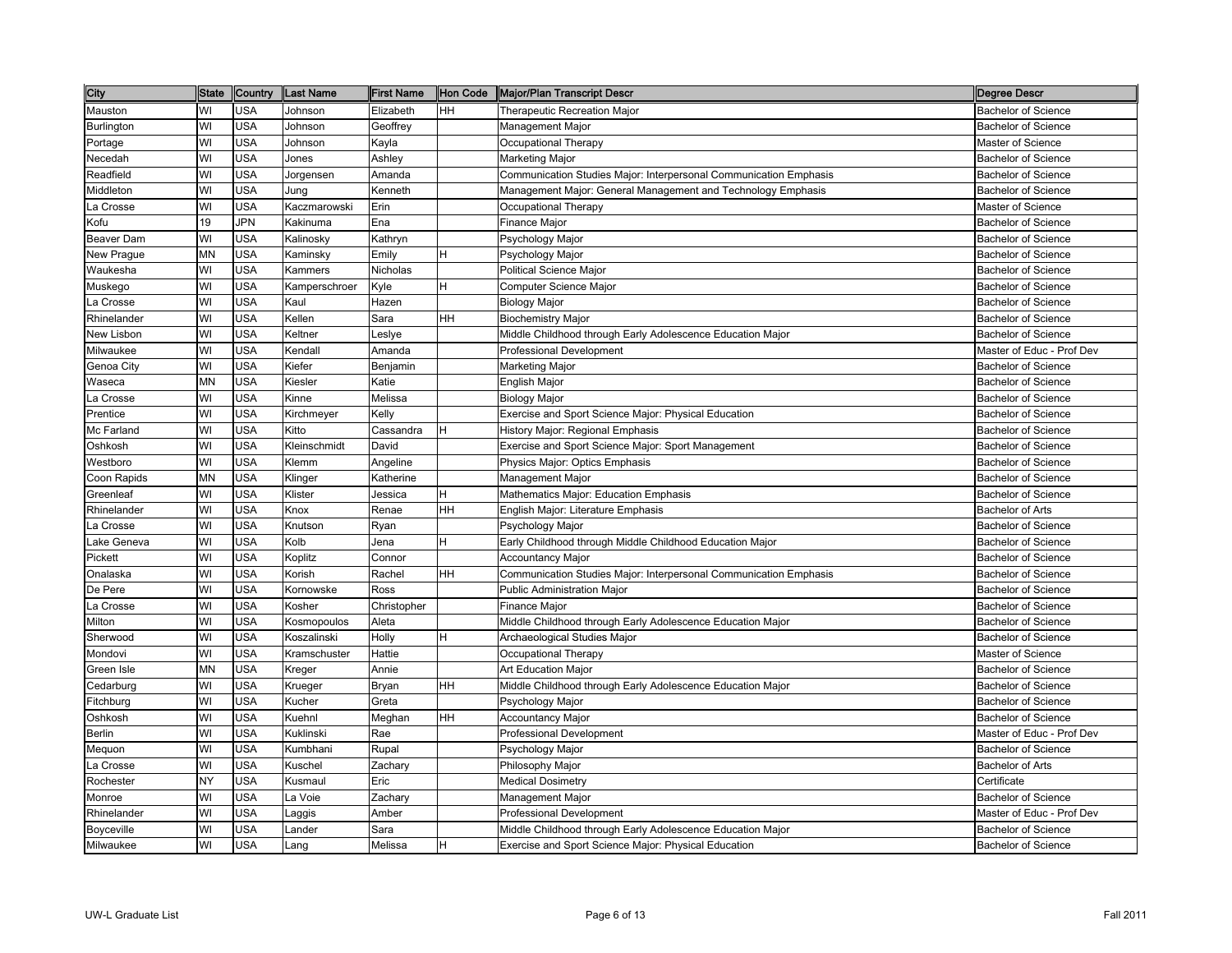| City        | <b>State</b> | Country    | <b>Last Name</b> | <b>First Name</b> | Hon Code  | Major/Plan Transcript Descr                                       | <b>Degree Descr</b>        |
|-------------|--------------|------------|------------------|-------------------|-----------|-------------------------------------------------------------------|----------------------------|
| Mauston     | WI           | <b>USA</b> | Johnson          | Elizabeth         | HH        | <b>Therapeutic Recreation Major</b>                               | <b>Bachelor of Science</b> |
| Burlington  | WI           | <b>USA</b> | Johnson          | Geoffrey          |           | Management Major                                                  | <b>Bachelor of Science</b> |
| Portage     | WI           | USA        | Johnson          | Kayla             |           | Occupational Therapy                                              | Master of Science          |
| Necedah     | WI           | <b>USA</b> | Jones            | Ashley            |           | Marketing Major                                                   | <b>Bachelor of Science</b> |
| Readfield   | WI           | USA        | Jorgensen        | Amanda            |           | Communication Studies Major: Interpersonal Communication Emphasis | <b>Bachelor of Science</b> |
| Middleton   | WI           | USA        | Jung             | Kenneth           |           | Management Major: General Management and Technology Emphasis      | <b>Bachelor of Science</b> |
| La Crosse   | WI           | <b>USA</b> | Kaczmarowski     | Erin              |           | Occupational Therapy                                              | Master of Science          |
| Kofu        | 19           | JPN        | Kakinuma         | Ena               |           | Finance Major                                                     | <b>Bachelor of Science</b> |
| Beaver Dam  | WI           | USA        | Kalinosky        | Kathryn           |           | Psychology Major                                                  | <b>Bachelor of Science</b> |
| New Prague  | <b>MN</b>    | USA        | Kaminsky         | Emily             | н         | Psychology Major                                                  | <b>Bachelor of Science</b> |
| Waukesha    | WI           | <b>USA</b> | Kammers          | Nicholas          |           | Political Science Major                                           | <b>Bachelor of Science</b> |
| Muskego     | WI           | <b>USA</b> | Kamperschroer    | Kyle              | H         | Computer Science Major                                            | <b>Bachelor of Science</b> |
| La Crosse   | WI           | <b>USA</b> | Kaul             | Hazen             |           | <b>Biology Major</b>                                              | <b>Bachelor of Science</b> |
| Rhinelander | WI           | <b>USA</b> | Kellen           | Sara              | <b>HH</b> | <b>Biochemistry Major</b>                                         | <b>Bachelor of Science</b> |
| New Lisbon  | WI           | USA        | Keltner          | Leslye            |           | Middle Childhood through Early Adolescence Education Major        | <b>Bachelor of Science</b> |
| Milwaukee   | WI           | <b>USA</b> | Kendall          | Amanda            |           | <b>Professional Development</b>                                   | Master of Educ - Prof Dev  |
| Genoa City  | WI           | <b>USA</b> | Kiefer           | Benjamin          |           | Marketing Major                                                   | <b>Bachelor of Science</b> |
| Waseca      | <b>MN</b>    | <b>USA</b> | Kiesler          | Katie             |           | English Major                                                     | <b>Bachelor of Science</b> |
| La Crosse   | WI           | <b>USA</b> | Kinne            | Melissa           |           | Biology Major                                                     | <b>Bachelor of Science</b> |
| Prentice    | WI           | <b>USA</b> | Kirchmeyer       | Kelly             |           | Exercise and Sport Science Major: Physical Education              | <b>Bachelor of Science</b> |
| Mc Farland  | WI           | <b>USA</b> | Kitto            | Cassandra         | H         | History Major: Regional Emphasis                                  | <b>Bachelor of Science</b> |
| Oshkosh     | WI           | <b>USA</b> | Kleinschmidt     | David             |           | Exercise and Sport Science Major: Sport Management                | <b>Bachelor of Science</b> |
| Westboro    | WI           | <b>USA</b> | Klemm            | Angeline          |           | Physics Major: Optics Emphasis                                    | <b>Bachelor of Science</b> |
| Coon Rapids | <b>MN</b>    | <b>USA</b> | Klinger          | Katherine         |           | Management Major                                                  | <b>Bachelor of Science</b> |
| Greenleaf   | WI           | <b>USA</b> | Klister          | Jessica           | lH.       | Mathematics Major: Education Emphasis                             | <b>Bachelor of Science</b> |
| Rhinelander | WI           | <b>USA</b> | Knox             | Renae             | <b>HH</b> | English Major: Literature Emphasis                                | <b>Bachelor of Arts</b>    |
| La Crosse   | WI           | <b>USA</b> | Knutson          | Ryan              |           | Psychology Major                                                  | <b>Bachelor of Science</b> |
| Lake Geneva | WI           | <b>USA</b> | Kolb             | Jena              | H         | Early Childhood through Middle Childhood Education Major          | <b>Bachelor of Science</b> |
| Pickett     | WI           | <b>USA</b> | Koplitz          | Connor            |           | Accountancy Major                                                 | <b>Bachelor of Science</b> |
| Onalaska    | WI           | USA        | Korish           | Rachel            | <b>HH</b> | Communication Studies Major: Interpersonal Communication Emphasis | <b>Bachelor of Science</b> |
| De Pere     | WI           | <b>USA</b> | Kornowske        | Ross              |           | <b>Public Administration Major</b>                                | <b>Bachelor of Science</b> |
| La Crosse   | WI           | <b>USA</b> | Kosher           | Christopher       |           | Finance Major                                                     | <b>Bachelor of Science</b> |
| Milton      | WI           | <b>USA</b> | Kosmopoulos      | Aleta             |           | Middle Childhood through Early Adolescence Education Major        | <b>Bachelor of Science</b> |
| Sherwood    | WI           | <b>USA</b> | Koszalinski      | Holly             | H.        | Archaeological Studies Major                                      | <b>Bachelor of Science</b> |
| Mondovi     | WI           | <b>USA</b> | Kramschuster     | Hattie            |           | Occupational Therapy                                              | Master of Science          |
| Green Isle  | <b>MN</b>    | <b>USA</b> | Kreger           | Annie             |           | <b>Art Education Major</b>                                        | <b>Bachelor of Science</b> |
| Cedarburg   | WI           | USA        | Krueger          | Bryan             | HH        | Middle Childhood through Early Adolescence Education Major        | <b>Bachelor of Science</b> |
| Fitchburg   | WI           | <b>USA</b> | Kucher           | Greta             |           | Psychology Major                                                  | <b>Bachelor of Science</b> |
| Oshkosh     | WI           | USA        | Kuehnl           | Meghan            | <b>HH</b> | <b>Accountancy Major</b>                                          | <b>Bachelor of Science</b> |
| Berlin      | WI           | <b>USA</b> | Kuklinski        | Rae               |           | Professional Development                                          | Master of Educ - Prof Dev  |
| Mequon      | WI           | <b>USA</b> | Kumbhani         | Rupal             |           | Psychology Major                                                  | <b>Bachelor of Science</b> |
| La Crosse   | WI           | <b>USA</b> | Kuschel          | Zachary           |           | Philosophy Major                                                  | Bachelor of Arts           |
| Rochester   | <b>NY</b>    | <b>USA</b> | Kusmaul          | Eric              |           | <b>Medical Dosimetry</b>                                          | Certificate                |
| Monroe      | WI           | <b>USA</b> | La Voie          | Zachary           |           | Management Major                                                  | <b>Bachelor of Science</b> |
| Rhinelander | WI           | <b>USA</b> | Laggis           | Amber             |           | <b>Professional Development</b>                                   | Master of Educ - Prof Dev  |
| Boyceville  | WI           | <b>USA</b> | Lander           | Sara              |           | Middle Childhood through Early Adolescence Education Major        | <b>Bachelor of Science</b> |
| Milwaukee   | WI           | <b>USA</b> | Lang             | Melissa           | H         | Exercise and Sport Science Major: Physical Education              | <b>Bachelor of Science</b> |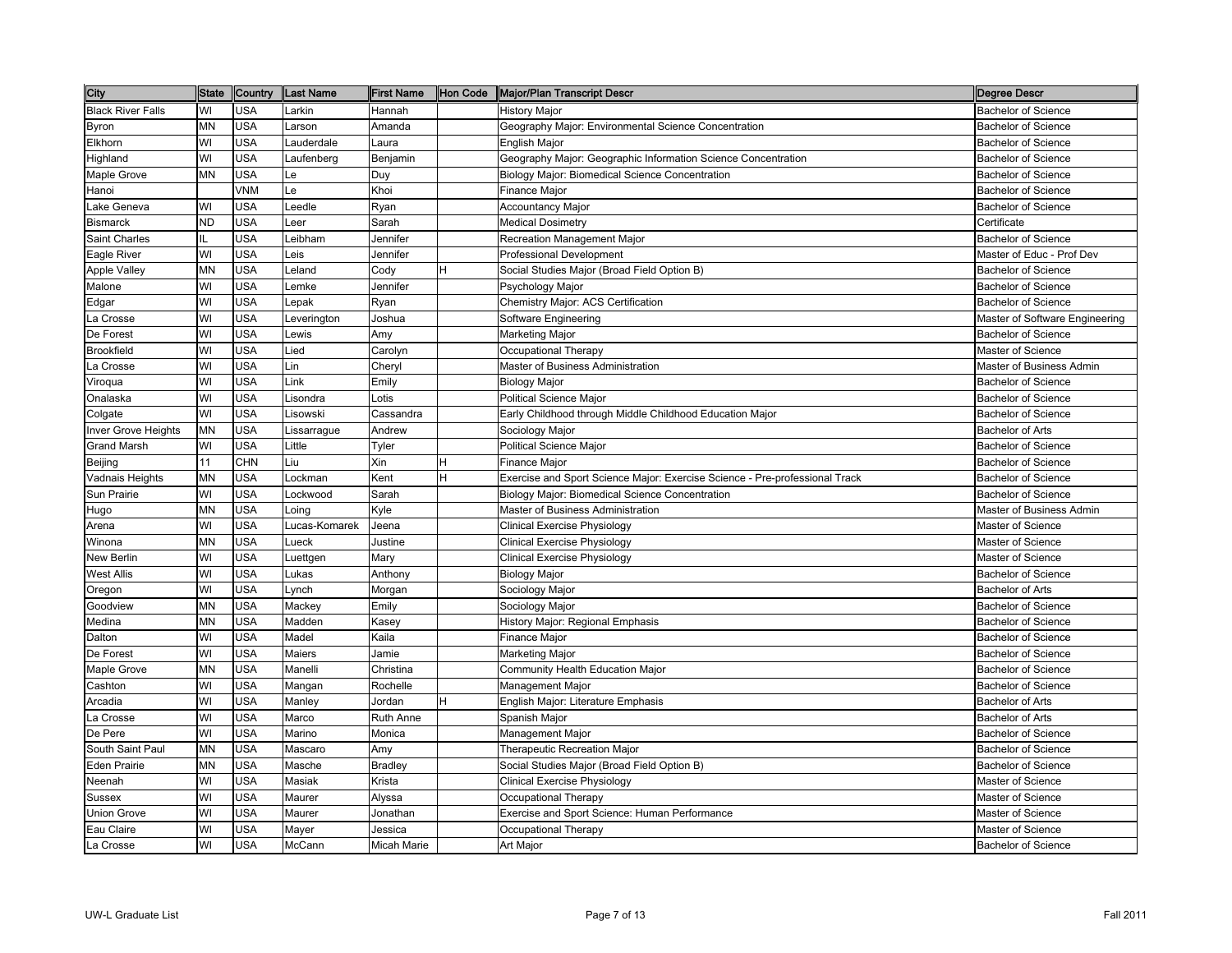| City                     | <b>State</b> | Country    | <b>Last Name</b> | <b>First Name</b> | Hon Code | Major/Plan Transcript Descr                                                 | <b>Degree Descr</b>            |
|--------------------------|--------------|------------|------------------|-------------------|----------|-----------------------------------------------------------------------------|--------------------------------|
| <b>Black River Falls</b> | WI           | <b>USA</b> | Larkin           | Hannah            |          | <b>History Major</b>                                                        | <b>Bachelor of Science</b>     |
| Byron                    | MN           | <b>USA</b> | arson.           | Amanda            |          | Geography Major: Environmental Science Concentration                        | <b>Bachelor of Science</b>     |
| Elkhorn                  | WI           | <b>USA</b> | auderdale        | Laura             |          | <b>English Major</b>                                                        | <b>Bachelor of Science</b>     |
| Highland                 | WI           | <b>USA</b> | aufenberg        | Benjamin          |          | Geography Major: Geographic Information Science Concentration               | <b>Bachelor of Science</b>     |
| Maple Grove              | MΝ           | <b>USA</b> | -e               | Duy               |          | Biology Major: Biomedical Science Concentration                             | <b>Bachelor of Science</b>     |
| Hanoi                    |              | VNM        | -e               | Khoi              |          | <b>Finance Major</b>                                                        | <b>Bachelor of Science</b>     |
| Lake Geneva              | WI           | <b>USA</b> | _eedle           | Ryan              |          | <b>Accountancy Major</b>                                                    | <b>Bachelor of Science</b>     |
| <b>Bismarck</b>          | ND           | <b>USA</b> | eer-             | Sarah             |          | <b>Medical Dosimetry</b>                                                    | Certificate                    |
| Saint Charles            |              | <b>USA</b> | eibham           | Jennifer          |          | Recreation Management Major                                                 | <b>Bachelor of Science</b>     |
| Eagle River              | WI           | <b>USA</b> | eis.             | Jennifer          |          | <b>Professional Development</b>                                             | Master of Educ - Prof Dev      |
| Apple Valley             | MN           | <b>USA</b> | _eland           | Cody              |          | Social Studies Major (Broad Field Option B)                                 | <b>Bachelor of Science</b>     |
| Malone                   | WI           | <b>USA</b> | emke.            | Jennifer          |          | Psychology Major                                                            | <b>Bachelor of Science</b>     |
| Edgar                    | WI           | <b>USA</b> | _epak            | Ryan              |          | Chemistry Major: ACS Certification                                          | <b>Bachelor of Science</b>     |
| La Crosse                | WI           | <b>USA</b> | _everington      | Joshua            |          | Software Engineering                                                        | Master of Software Engineering |
| De Forest                | WI           | <b>USA</b> | _ewis            | Amy               |          | <b>Marketing Major</b>                                                      | <b>Bachelor of Science</b>     |
| <b>Brookfield</b>        | WI           | <b>USA</b> | Lied             | Carolyn           |          | Occupational Therapy                                                        | Master of Science              |
| La Crosse                | WI           | <b>USA</b> | Lin              | Cheryl            |          | Master of Business Administration                                           | Master of Business Admin       |
| Viroqua                  | WI           | <b>USA</b> | Link             | Emily             |          | <b>Biology Major</b>                                                        | <b>Bachelor of Science</b>     |
| Onalaska                 | WI           | <b>USA</b> | Lisondra         | Lotis             |          | <b>Political Science Major</b>                                              | <b>Bachelor of Science</b>     |
| Colgate                  | WI           | <b>USA</b> | Lisowski         | Cassandra         |          | Early Childhood through Middle Childhood Education Major                    | <b>Bachelor of Science</b>     |
| Inver Grove Heights      | MN           | <b>USA</b> | _issarrague      | Andrew            |          | Sociology Major                                                             | <b>Bachelor of Arts</b>        |
| <b>Grand Marsh</b>       | WI           | <b>USA</b> | Little           | Tyler             |          | <b>Political Science Major</b>                                              | <b>Bachelor of Science</b>     |
| Beijing                  | 11           | <b>CHN</b> | Liu              | Xin               | н        | <b>Finance Major</b>                                                        | <b>Bachelor of Science</b>     |
| Vadnais Heights          | MN           | <b>USA</b> | _ockman          | Kent              | H        | Exercise and Sport Science Major: Exercise Science - Pre-professional Track | <b>Bachelor of Science</b>     |
| Sun Prairie              | WI           | <b>USA</b> | _ockwood         | Sarah             |          | Biology Major: Biomedical Science Concentration                             | <b>Bachelor of Science</b>     |
| Hugo                     | <b>MN</b>    | <b>USA</b> | _oing            | Kyle              |          | Master of Business Administration                                           | Master of Business Admin       |
| Arena                    | WI           | <b>USA</b> | _ucas-Komarek    | Jeena             |          | Clinical Exercise Physiology                                                | Master of Science              |
| Winona                   | MN           | <b>USA</b> | _ueck            | Justine           |          | Clinical Exercise Physiology                                                | <b>Master of Science</b>       |
| New Berlin               | WI           | <b>USA</b> | _uettgen         | Mary              |          | <b>Clinical Exercise Physiology</b>                                         | Master of Science              |
| <b>West Allis</b>        | WI           | <b>USA</b> | Lukas            | Anthony           |          | <b>Biology Major</b>                                                        | <b>Bachelor of Science</b>     |
| Oregon                   | WI           | <b>USA</b> | -ynch            | Morgan            |          | Sociology Major                                                             | <b>Bachelor of Arts</b>        |
| Goodview                 | MN           | <b>USA</b> | Mackey           | Emily             |          | Sociology Major                                                             | <b>Bachelor of Science</b>     |
| Medina                   | MN           | <b>USA</b> | Madden           | Kasey             |          | History Major: Regional Emphasis                                            | <b>Bachelor of Science</b>     |
| Dalton                   | WI           | <b>USA</b> | Madel            | Kaila             |          | <b>Finance Major</b>                                                        | <b>Bachelor of Science</b>     |
| De Forest                | WI           | <b>USA</b> | Maiers           | Jamie             |          | Marketing Major                                                             | <b>Bachelor of Science</b>     |
| Maple Grove              | MΝ           | <b>USA</b> | Manelli          | Christina         |          | Community Health Education Major                                            | <b>Bachelor of Science</b>     |
| Cashton                  | WI           | <b>USA</b> | Mangan           | Rochelle          |          | Management Major                                                            | <b>Bachelor of Science</b>     |
| Arcadia                  | WI           | <b>USA</b> | Manley           | Jordan            | н        | English Major: Literature Emphasis                                          | <b>Bachelor of Arts</b>        |
| La Crosse                | WI           | <b>USA</b> | Marco            | Ruth Anne         |          | Spanish Major                                                               | <b>Bachelor of Arts</b>        |
| De Pere                  | WI           | <b>USA</b> | Marino           | Monica            |          | <b>Management Major</b>                                                     | <b>Bachelor of Science</b>     |
| South Saint Paul         | MN           | <b>USA</b> | Mascaro          | Amy               |          | <b>Therapeutic Recreation Major</b>                                         | <b>Bachelor of Science</b>     |
| <b>Eden Prairie</b>      | MN           | <b>USA</b> | Masche           | <b>Bradley</b>    |          | Social Studies Major (Broad Field Option B)                                 | <b>Bachelor of Science</b>     |
| Neenah                   | WI           | <b>USA</b> | Masiak           | Krista            |          | Clinical Exercise Physiology                                                | Master of Science              |
| Sussex                   | WI           | <b>USA</b> | Maurer           | Alyssa            |          | Occupational Therapy                                                        | Master of Science              |
| <b>Union Grove</b>       | WI           | <b>USA</b> | Maurer           | Jonathan          |          | Exercise and Sport Science: Human Performance                               | Master of Science              |
| Eau Claire               | WI           | <b>USA</b> | Mayer            | Jessica           |          | Occupational Therapy                                                        | <b>Master of Science</b>       |
| La Crosse                | WI           | <b>USA</b> | McCann           | Micah Marie       |          | Art Major                                                                   | Bachelor of Science            |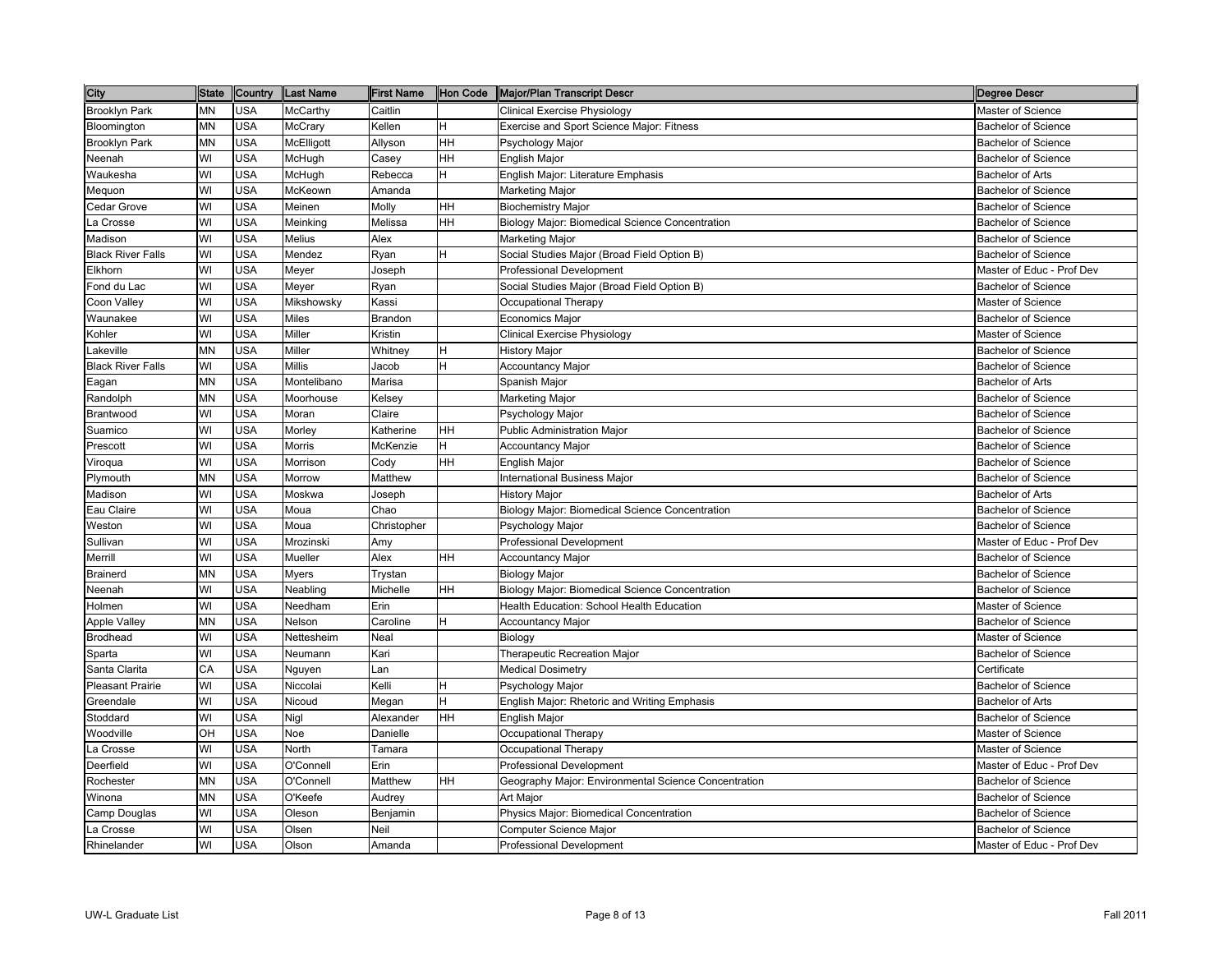| <b>City</b>              | <b>State</b> | Country    | <b>Last Name</b> | <b>First Name</b> | Hon Code | Major/Plan Transcript Descr                          | <b>Degree Descr</b>        |
|--------------------------|--------------|------------|------------------|-------------------|----------|------------------------------------------------------|----------------------------|
| <b>Brooklyn Park</b>     | MΝ           | <b>USA</b> | McCarthy         | Caitlin           |          | Clinical Exercise Physiology                         | <b>Master of Science</b>   |
| Bloomington              | ΜN           | <b>USA</b> | McCrary          | Kellen            | н        | Exercise and Sport Science Major: Fitness            | <b>Bachelor of Science</b> |
| Brooklyn Park            | ΜN           | <b>USA</b> | McElligott       | Allyson           | HH       | Psychology Major                                     | <b>Bachelor of Science</b> |
| Neenah                   | WI           | <b>USA</b> | McHugh           | Casey             | HH       | English Major                                        | <b>Bachelor of Science</b> |
| Waukesha                 | WI           | <b>USA</b> | McHugh           | Rebecca           | H        | English Major: Literature Emphasis                   | <b>Bachelor of Arts</b>    |
| Mequon                   | WI           | <b>USA</b> | McKeown          | Amanda            |          | Marketing Major                                      | <b>Bachelor of Science</b> |
| Cedar Grove              | WI           | <b>USA</b> | Meinen           | Molly             | HH       | <b>Biochemistry Major</b>                            | <b>Bachelor of Science</b> |
| La Crosse                | WI           | <b>USA</b> | Meinking         | Melissa           | HH       | Biology Major: Biomedical Science Concentration      | <b>Bachelor of Science</b> |
| Madison                  | WI           | <b>USA</b> | Melius           | Alex              |          | Marketing Major                                      | <b>Bachelor of Science</b> |
| <b>Black River Falls</b> | WI           | <b>USA</b> | Mendez           | Ryan              | н        | Social Studies Major (Broad Field Option B)          | <b>Bachelor of Science</b> |
| Elkhorn                  | WI           | <b>USA</b> | Meyer            | Joseph            |          | Professional Development                             | Master of Educ - Prof Dev  |
| Fond du Lac              | WI           | <b>USA</b> | Meyer            | Ryan              |          | Social Studies Major (Broad Field Option B)          | <b>Bachelor of Science</b> |
| Coon Valley              | WI           | <b>USA</b> | Mikshowsky       | Kassi             |          | Occupational Therapy                                 | Master of Science          |
| Waunakee                 | WI           | <b>USA</b> | <b>Miles</b>     | Brandon           |          | Economics Major                                      | <b>Bachelor of Science</b> |
| Kohler                   | WI           | <b>USA</b> | Miller           | Kristin           |          | Clinical Exercise Physiology                         | Master of Science          |
| _akeville                | <b>MN</b>    | <b>USA</b> | Miller           | Whitney           | н        | History Major                                        | <b>Bachelor of Science</b> |
| <b>Black River Falls</b> | WI           | <b>USA</b> | Millis           | Jacob             | Η        | <b>Accountancy Major</b>                             | <b>Bachelor of Science</b> |
| Eagan                    | MN           | <b>USA</b> | Montelibano      | Marisa            |          | Spanish Major                                        | <b>Bachelor of Arts</b>    |
| Randolph                 | MN           | <b>USA</b> | Moorhouse        | Kelsey            |          | Marketing Major                                      | <b>Bachelor of Science</b> |
| Brantwood                | WI           | <b>USA</b> | Moran            | Claire            |          | Psychology Major                                     | <b>Bachelor of Science</b> |
| Suamico                  | WI           | <b>USA</b> | Morley           | Katherine         | HН       | Public Administration Major                          | <b>Bachelor of Science</b> |
| Prescott                 | WI           | <b>USA</b> | Morris           | McKenzie          | H        | Accountancy Major                                    | <b>Bachelor of Science</b> |
| Viroqua                  | WI           | <b>USA</b> | Morrison         | Cody              | HH       | English Major                                        | <b>Bachelor of Science</b> |
| Plymouth                 | MN           | <b>USA</b> | Morrow           | Matthew           |          | <b>International Business Major</b>                  | <b>Bachelor of Science</b> |
| Madison                  | WI           | <b>USA</b> | Moskwa           | Joseph            |          | <b>History Major</b>                                 | <b>Bachelor of Arts</b>    |
| Eau Claire               | WI           | <b>USA</b> | Moua             | Chao              |          | Biology Major: Biomedical Science Concentration      | <b>Bachelor of Science</b> |
| Weston                   | WI           | <b>USA</b> | Moua             | Christopher       |          | Psychology Major                                     | Bachelor of Science        |
| Sullivan                 | WI           | <b>USA</b> | Mrozinski        | Amy               |          | <b>Professional Development</b>                      | Master of Educ - Prof Dev  |
| Merrill                  | WI           | <b>USA</b> | Mueller          | Alex              | HH       | Accountancy Major                                    | <b>Bachelor of Science</b> |
| Brainerd                 | MN           | <b>USA</b> | Myers            | Trystan           |          | <b>Biology Major</b>                                 | <b>Bachelor of Science</b> |
| Veenah                   | WI           | <b>USA</b> | Neabling         | Michelle          | HH       | Biology Major: Biomedical Science Concentration      | <b>Bachelor of Science</b> |
| Holmen                   | WI           | <b>USA</b> | Needham          | Erin              |          | Health Education: School Health Education            | Master of Science          |
| <b>Apple Valley</b>      | MN           | <b>USA</b> | Nelson           | Caroline          | H        | <b>Accountancy Major</b>                             | <b>Bachelor of Science</b> |
| <b>Brodhead</b>          | WI           | <b>USA</b> | Nettesheim       | Neal              |          | Biology                                              | Master of Science          |
| Sparta                   | WI           | <b>USA</b> | Neumann          | Kari              |          | Therapeutic Recreation Major                         | <b>Bachelor of Science</b> |
| Santa Clarita            | CA           | <b>USA</b> | Nguyen           | Lan               |          | <b>Medical Dosimetry</b>                             | Certificate                |
| <b>Pleasant Prairie</b>  | WI           | <b>USA</b> | Niccolai         | Kelli             | Η        | Psychology Major                                     | <b>Bachelor of Science</b> |
| Greendale                | WI           | <b>USA</b> | Nicoud           | Megan             | н        | English Major: Rhetoric and Writing Emphasis         | <b>Bachelor of Arts</b>    |
| Stoddard                 | WI           | <b>USA</b> | Nigl             | Alexander         | HH       | English Major                                        | <b>Bachelor of Science</b> |
| Woodville                | OH           | <b>USA</b> | Noe              | Danielle          |          | Occupational Therapy                                 | Master of Science          |
| La Crosse                | WI           | <b>USA</b> | North            | Tamara            |          | Occupational Therapy                                 | Master of Science          |
| Deerfield                | WI           | <b>USA</b> | O'Connell        | Erin              |          | <b>Professional Development</b>                      | Master of Educ - Prof Dev  |
| Rochester                | MN           | <b>USA</b> | O'Connell        | Matthew           | HH       | Geography Major: Environmental Science Concentration | <b>Bachelor of Science</b> |
| Winona                   | MN           | <b>USA</b> | O'Keefe          | Audrey            |          | Art Major                                            | <b>Bachelor of Science</b> |
| Camp Douglas             | WI           | <b>USA</b> | Oleson           | Benjamin          |          | Physics Major: Biomedical Concentration              | <b>Bachelor of Science</b> |
| La Crosse                | WI           | <b>USA</b> | Olsen            | Neil              |          | Computer Science Major                               | <b>Bachelor of Science</b> |
| Rhinelander              | WI           | <b>USA</b> | Olson            | Amanda            |          | <b>Professional Development</b>                      | Master of Educ - Prof Dev  |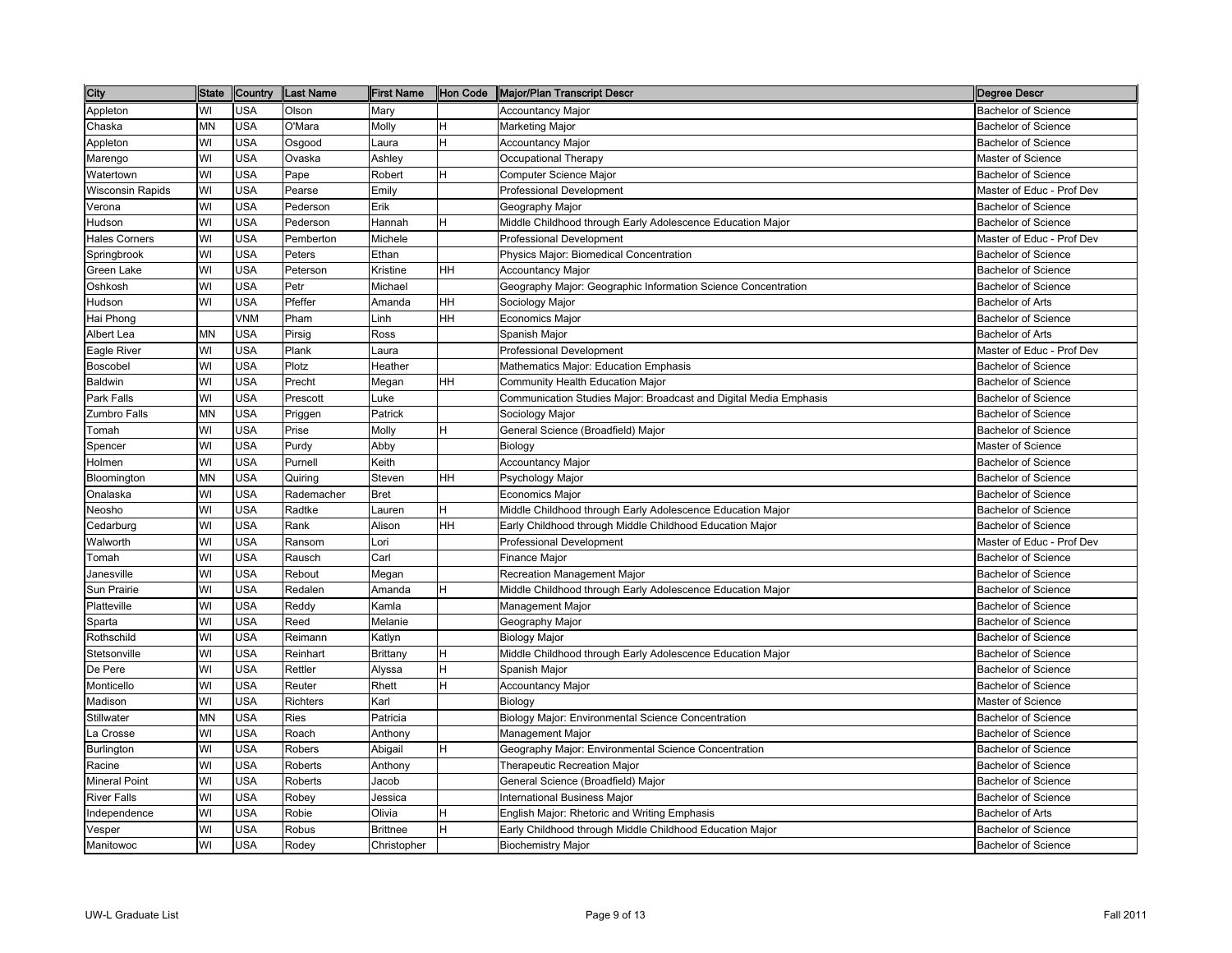| City                 | State | Country    | <b>Last Name</b> | <b>First Name</b> | Hon Code  | Major/Plan Transcript Descr                                       | <b>Degree Descr</b>        |
|----------------------|-------|------------|------------------|-------------------|-----------|-------------------------------------------------------------------|----------------------------|
| Appleton             | WI    | <b>USA</b> | Olson            | Mary              |           | Accountancy Major                                                 | <b>Bachelor of Science</b> |
| Chaska               | MN    | <b>USA</b> | O'Mara           | Molly             | H         | Marketing Major                                                   | <b>Bachelor of Science</b> |
| Appleton             | WI    | <b>USA</b> | Osgood           | Laura             | H         | <b>Accountancy Major</b>                                          | <b>Bachelor of Science</b> |
| Marengo              | WI    | <b>USA</b> | Ovaska           | Ashley            |           | Occupational Therapy                                              | Master of Science          |
| Watertown            | WI    | <b>USA</b> | Pape             | Robert            | H         | Computer Science Major                                            | <b>Bachelor of Science</b> |
| Wisconsin Rapids     | WI    | <b>USA</b> | Pearse           | Emily             |           | <b>Professional Development</b>                                   | Master of Educ - Prof Dev  |
| √erona               | WI    | <b>USA</b> | Pederson         | Erik              |           | Geography Major                                                   | <b>Bachelor of Science</b> |
| Hudson               | WI    | <b>USA</b> | Pederson         | Hannah            | н         | Middle Childhood through Early Adolescence Education Major        | <b>Bachelor of Science</b> |
| Hales Corners        | WI    | <b>USA</b> | Pemberton        | Michele           |           | <b>Professional Development</b>                                   | Master of Educ - Prof Dev  |
| Springbrook          | WI    | <b>USA</b> | Peters           | Ethan             |           | Physics Major: Biomedical Concentration                           | <b>Bachelor of Science</b> |
| Green Lake           | WI    | <b>USA</b> | Peterson         | Kristine          | HН        | Accountancy Major                                                 | <b>Bachelor of Science</b> |
| Oshkosh              | WI    | <b>USA</b> | Petr             | Michael           |           | Geography Major: Geographic Information Science Concentration     | <b>Bachelor of Science</b> |
| Hudson               | WI    | <b>USA</b> | Pfeffer          | Amanda            | HН        | Sociology Major                                                   | <b>Bachelor of Arts</b>    |
| Hai Phong            |       | <b>VNM</b> | Pham             | Linh              | HH        | Economics Major                                                   | <b>Bachelor of Science</b> |
| Albert Lea           | MΝ    | <b>USA</b> | Pirsig           | Ross              |           | Spanish Major                                                     | <b>Bachelor of Arts</b>    |
| Eagle River          | WI    | <b>USA</b> | Plank            | Laura             |           | <b>Professional Development</b>                                   | Master of Educ - Prof Dev  |
| Boscobel             | WI    | <b>USA</b> | Plotz            | Heather           |           | <b>Mathematics Major: Education Emphasis</b>                      | <b>Bachelor of Science</b> |
| Baldwin              | WI    | <b>USA</b> | Precht           | Megan             | HH        | Community Health Education Major                                  | <b>Bachelor of Science</b> |
| Park Falls           | WI    | <b>USA</b> | Prescott         | Luke              |           | Communication Studies Major: Broadcast and Digital Media Emphasis | <b>Bachelor of Science</b> |
| Zumbro Falls         | MN    | <b>USA</b> | Priggen          | Patrick           |           | Sociology Major                                                   | <b>Bachelor of Science</b> |
| Tomah                | WI    | <b>USA</b> | Prise            | Molly             | H         | General Science (Broadfield) Major                                | <b>Bachelor of Science</b> |
| Spencer              | WI    | <b>USA</b> | Purdy            | Abby              |           | Biology                                                           | <b>Master of Science</b>   |
| Holmen               | WI    | <b>USA</b> | Purnell          | Keith             |           | <b>Accountancy Major</b>                                          | <b>Bachelor of Science</b> |
| Bloomington          | MN    | <b>USA</b> | Quiring          | Steven            | HH        | Psychology Major                                                  | <b>Bachelor of Science</b> |
| Onalaska             | WI    | <b>USA</b> | Rademacher       | <b>Bret</b>       |           | Economics Major                                                   | <b>Bachelor of Science</b> |
| Neosho               | WI    | <b>USA</b> | Radtke           | Lauren            | н         | Middle Childhood through Early Adolescence Education Major        | <b>Bachelor of Science</b> |
| Cedarburg            | WI    | <b>USA</b> | Rank             | Alison            | <b>HH</b> | Early Childhood through Middle Childhood Education Major          | <b>Bachelor of Science</b> |
| Walworth             | WI    | <b>USA</b> | Ransom           | ∟ori              |           | <b>Professional Development</b>                                   | Master of Educ - Prof Dev  |
| Tomah                | WI    | <b>USA</b> | Rausch           | Carl              |           | Finance Major                                                     | <b>Bachelor of Science</b> |
| Janesville           | WI    | <b>USA</b> | Rebout           | Megan             |           | Recreation Management Major                                       | <b>Bachelor of Science</b> |
| Sun Prairie          | WI    | <b>USA</b> | Redalen          | Amanda            | н         | Middle Childhood through Early Adolescence Education Major        | <b>Bachelor of Science</b> |
| Platteville          | WI    | <b>USA</b> | Reddy            | Kamla             |           | Management Major                                                  | <b>Bachelor of Science</b> |
| Sparta               | WI    | <b>USA</b> | Reed             | Melanie           |           | Geography Major                                                   | <b>Bachelor of Science</b> |
| Rothschild           | WI    | <b>USA</b> | Reimann          | Katlyn            |           | Biology Major                                                     | <b>Bachelor of Science</b> |
| Stetsonville         | WI    | <b>USA</b> | Reinhart         | Brittany          | H         | Middle Childhood through Early Adolescence Education Major        | <b>Bachelor of Science</b> |
| De Pere              | WI    | <b>USA</b> | Rettler          | Alyssa            | H         | Spanish Major                                                     | <b>Bachelor of Science</b> |
| Monticello           | WI    | <b>USA</b> | Reuter           | Rhett             | H         | <b>Accountancy Major</b>                                          | <b>Bachelor of Science</b> |
| Madison              | WI    | <b>USA</b> | <b>Richters</b>  | Karl              |           | Biology                                                           | <b>Master of Science</b>   |
| Stillwater           | MN    | <b>USA</b> | Ries             | Patricia          |           | Biology Major: Environmental Science Concentration                | <b>Bachelor of Science</b> |
| La Crosse            | WI    | <b>USA</b> | Roach            | Anthony           |           | Management Major                                                  | <b>Bachelor of Science</b> |
| Burlington           | WI    | <b>USA</b> | Robers           | Abigail           | H         | Geography Major: Environmental Science Concentration              | <b>Bachelor of Science</b> |
| Racine               | WI    | <b>USA</b> | Roberts          | Anthony           |           | Therapeutic Recreation Major                                      | <b>Bachelor of Science</b> |
| <b>Mineral Point</b> | WI    | <b>USA</b> | Roberts          | Jacob             |           | General Science (Broadfield) Major                                | <b>Bachelor of Science</b> |
| <b>River Falls</b>   | WI    | <b>USA</b> | Robey            | Jessica           |           | <b>International Business Major</b>                               | <b>Bachelor of Science</b> |
| ndependence          | WI    | <b>USA</b> | Robie            | Olivia            | н         | English Major: Rhetoric and Writing Emphasis                      | <b>Bachelor of Arts</b>    |
| Vesper               | WI    | <b>USA</b> | Robus            | <b>Brittnee</b>   | Η         | Early Childhood through Middle Childhood Education Major          | <b>Bachelor of Science</b> |
| Manitowoc            | WI    | <b>USA</b> | Rodey            | Christopher       |           | <b>Biochemistry Major</b>                                         | <b>Bachelor of Science</b> |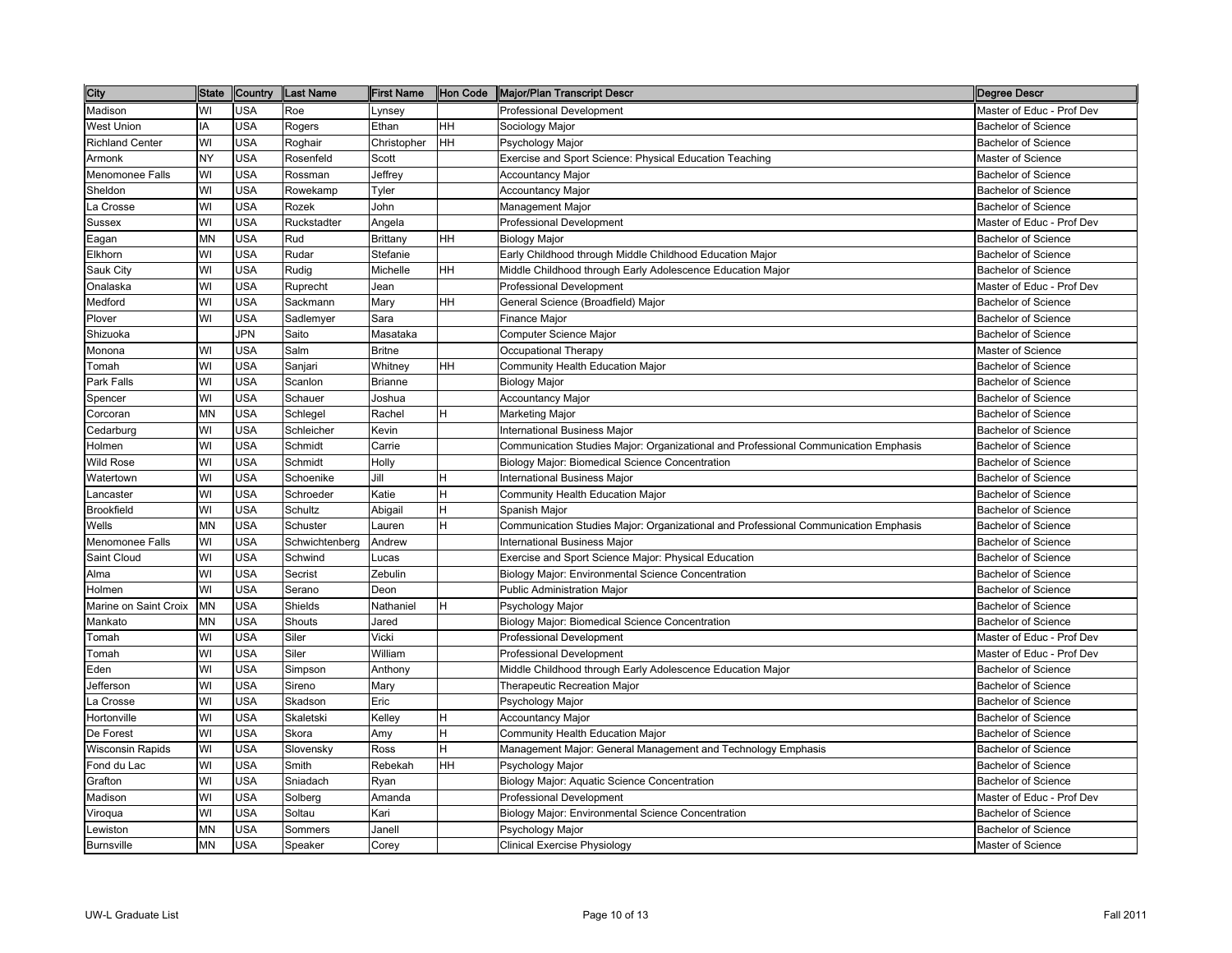| City                   | <b>State</b> | Country    | Last Name      | First Name     | Hon Code  | Major/Plan Transcript Descr                                                         | Degree Descr               |
|------------------------|--------------|------------|----------------|----------------|-----------|-------------------------------------------------------------------------------------|----------------------------|
| Madison                | WI           | USA        | Roe            | .ynsey         |           | Professional Development                                                            | Master of Educ - Prof Dev  |
| West Union             | ΙA           | USA        | Rogers         | Ethan          | HH        | Sociology Major                                                                     | <b>Bachelor of Science</b> |
| <b>Richland Center</b> | WI           | <b>USA</b> | Roghair        | Christopher    | <b>HH</b> | Psychology Major                                                                    | <b>Bachelor of Science</b> |
| Armonk                 | NY           | <b>USA</b> | Rosenfeld      | Scott          |           | Exercise and Sport Science: Physical Education Teaching                             | Master of Science          |
| Menomonee Falls        | WI           | <b>USA</b> | Rossman        | Jeffrey        |           | <b>Accountancy Major</b>                                                            | Bachelor of Science        |
| Sheldon                | WI           | <b>USA</b> | Rowekamp       | Tyler          |           | <b>Accountancy Major</b>                                                            | <b>Bachelor of Science</b> |
| La Crosse              | WI           | <b>USA</b> | Rozek          | John           |           | Management Major                                                                    | <b>Bachelor of Science</b> |
| Sussex                 | WI           | <b>USA</b> | Ruckstadter    | Angela         |           | <b>Professional Development</b>                                                     | Master of Educ - Prof Dev  |
| Eagan                  | MN           | <b>USA</b> | Rud            | Brittany       | HH        | Biology Major                                                                       | <b>Bachelor of Science</b> |
| Elkhorn                | WI           | <b>USA</b> | Rudar          | Stefanie       |           | Early Childhood through Middle Childhood Education Major                            | <b>Bachelor of Science</b> |
| Sauk City              | WI           | USA        | Rudig          | Michelle       | HH        | Middle Childhood through Early Adolescence Education Major                          | <b>Bachelor of Science</b> |
| Onalaska               | WI           | <b>USA</b> | Ruprecht       | Jean           |           | Professional Development                                                            | Master of Educ - Prof Dev  |
| Medford                | WI           | <b>USA</b> | Sackmann       | Mary           | HH        | General Science (Broadfield) Major                                                  | <b>Bachelor of Science</b> |
| Plover                 | WI           | <b>USA</b> | Sadlemyer      | Sara           |           | Finance Major                                                                       | <b>Bachelor of Science</b> |
| Shizuoka               |              | <b>JPN</b> | Saito          | Masataka       |           | Computer Science Major                                                              | <b>Bachelor of Science</b> |
| Monona                 | WI           | <b>USA</b> | Salm           | <b>Britne</b>  |           | Occupational Therapy                                                                | Master of Science          |
| Tomah                  | WI           | <b>USA</b> | Sanjari        | Whitney        | HH        | Community Health Education Major                                                    | <b>Bachelor of Science</b> |
| Park Falls             | WI           | <b>USA</b> | Scanlon        | <b>Brianne</b> |           | <b>Biology Major</b>                                                                | <b>Bachelor of Science</b> |
| Spencer                | WI           | USA        | Schauer        | Joshua         |           | <b>Accountancy Major</b>                                                            | <b>Bachelor of Science</b> |
| Corcoran               | MN           | USA        | Schlegel       | Rachel         | H         | Marketing Major                                                                     | <b>Bachelor of Science</b> |
| Cedarburg              | WI           | USA        | Schleicher     | Kevin          |           | <b>International Business Major</b>                                                 | <b>Bachelor of Science</b> |
| Holmen                 | WI           | <b>USA</b> | Schmidt        | Carrie         |           | Communication Studies Major: Organizational and Professional Communication Emphasis | <b>Bachelor of Science</b> |
| Wild Rose              | WI           | <b>USA</b> | Schmidt        | Holly          |           | Biology Major: Biomedical Science Concentration                                     | <b>Bachelor of Science</b> |
| Watertown              | WI           | <b>USA</b> | Schoenike      | Jill           | ΙH.       | <b>International Business Major</b>                                                 | <b>Bachelor of Science</b> |
| _ancaster              | WI           | <b>USA</b> | Schroeder      | Katie          | lн        | Community Health Education Major                                                    | <b>Bachelor of Science</b> |
| <b>Brookfield</b>      | WI           | <b>USA</b> | Schultz        | Abigail        | H         | Spanish Major                                                                       | <b>Bachelor of Science</b> |
| Wells                  | MN           | <b>USA</b> | Schuster       | Lauren         | H         | Communication Studies Major: Organizational and Professional Communication Emphasis | Bachelor of Science        |
| Menomonee Falls        | WI           | <b>USA</b> | Schwichtenberg | Andrew         |           | <b>International Business Major</b>                                                 | <b>Bachelor of Science</b> |
| Saint Cloud            | WI           | <b>USA</b> | Schwind        | Lucas          |           | Exercise and Sport Science Major: Physical Education                                | <b>Bachelor of Science</b> |
| Alma                   | WI           | <b>USA</b> | Secrist        | Zebulin        |           | Biology Major: Environmental Science Concentration                                  | <b>Bachelor of Science</b> |
| Holmen                 | WI           | USA        | Serano         | Deon           |           | Public Administration Major                                                         | <b>Bachelor of Science</b> |
| Marine on Saint Croix  | MN           | <b>USA</b> | Shields        | Nathaniel      | H         | Psychology Major                                                                    | <b>Bachelor of Science</b> |
| Mankato                | MN           | <b>USA</b> | Shouts         | Jared          |           | Biology Major: Biomedical Science Concentration                                     | <b>Bachelor of Science</b> |
| Tomah                  | WI           | <b>USA</b> | Siler          | Vicki          |           | <b>Professional Development</b>                                                     | Master of Educ - Prof Dev  |
| Tomah                  | WI           | <b>USA</b> | Siler          | William        |           | <b>Professional Development</b>                                                     | Master of Educ - Prof Dev  |
| Eden                   | WI           | <b>USA</b> | Simpson        | Anthony        |           | Middle Childhood through Early Adolescence Education Major                          | <b>Bachelor of Science</b> |
| Jefferson              | WI           | <b>USA</b> | Sireno         | Mary           |           | <b>Therapeutic Recreation Major</b>                                                 | <b>Bachelor of Science</b> |
| La Crosse              | WI           | USA        | Skadson        | Eric           |           | Psychology Major                                                                    | <b>Bachelor of Science</b> |
| Hortonville            | WI           | <b>USA</b> | Skaletski      | Kelley         | H         | <b>Accountancy Major</b>                                                            | <b>Bachelor of Science</b> |
| De Forest              | WI           | USA        | Skora          | Amy            | H         | Community Health Education Major                                                    | <b>Bachelor of Science</b> |
| Wisconsin Rapids       | WI           | <b>USA</b> | Slovensky      | Ross           | H         | Management Major: General Management and Technology Emphasis                        | <b>Bachelor of Science</b> |
| Fond du Lac            | WI           | <b>USA</b> | Smith          | Rebekah        | HH        | Psychology Major                                                                    | <b>Bachelor of Science</b> |
| Grafton                | WI           | <b>USA</b> | Sniadach       | Ryan           |           | Biology Major: Aquatic Science Concentration                                        | <b>Bachelor of Science</b> |
| Madison                | WI           | <b>USA</b> | Solberg        | Amanda         |           | <b>Professional Development</b>                                                     | Master of Educ - Prof Dev  |
| Viroqua                | WI           | <b>USA</b> | Soltau         | Kari           |           | Biology Major: Environmental Science Concentration                                  | <b>Bachelor of Science</b> |
| Lewiston               | MN           | <b>USA</b> | Sommers        | Janell         |           | Psychology Major                                                                    | <b>Bachelor of Science</b> |
| <b>Burnsville</b>      | MN           | <b>USA</b> | Speaker        | Corey          |           | Clinical Exercise Physiology                                                        | Master of Science          |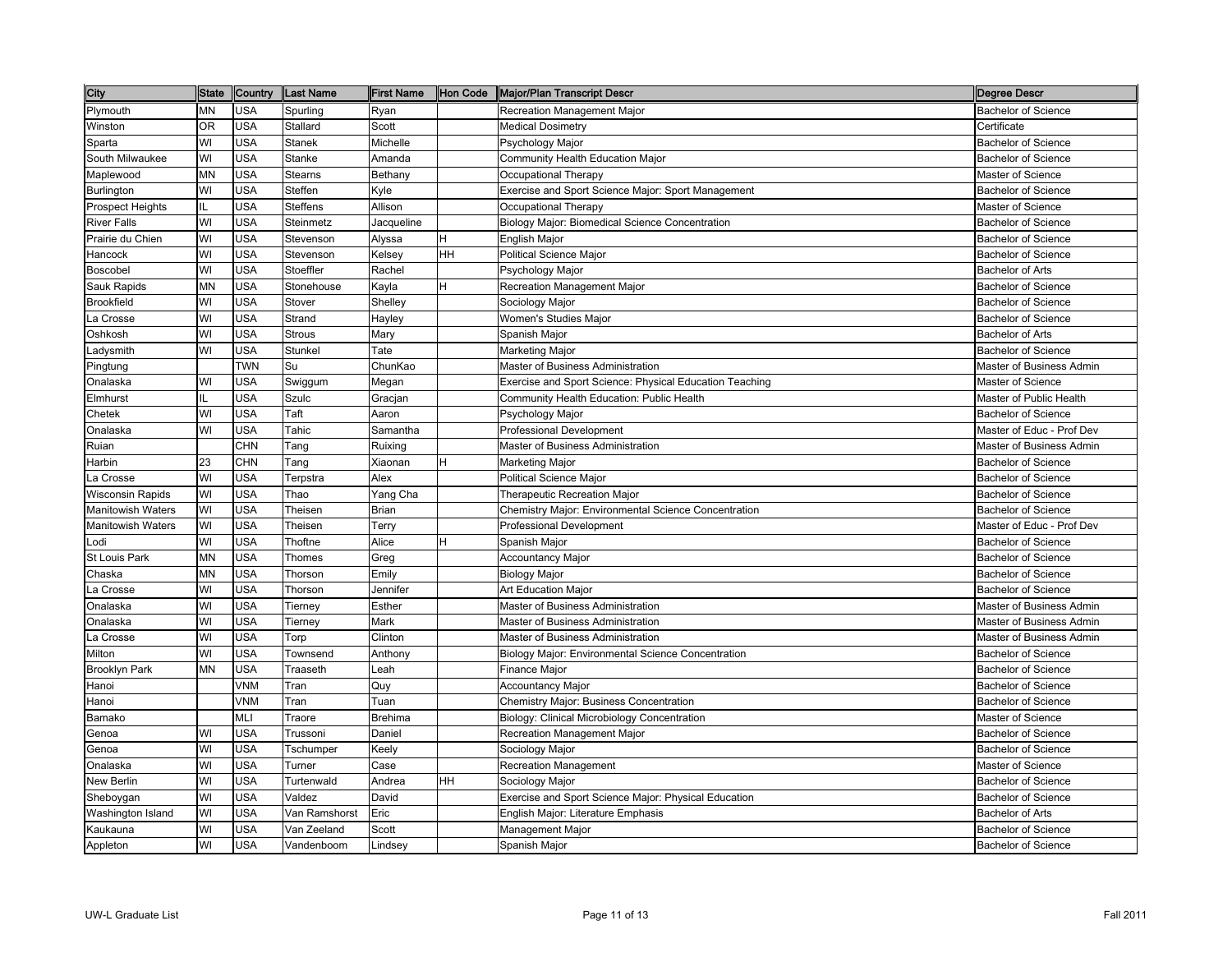| <b>City</b>              | <b>State</b> | Country    | Last Name       | <b>First Name</b> | Hon Code  | Major/Plan Transcript Descr                             | <b>Degree Descr</b>             |
|--------------------------|--------------|------------|-----------------|-------------------|-----------|---------------------------------------------------------|---------------------------------|
| Plymouth                 | <b>MN</b>    | USA        | Spurling        | Ryan              |           | Recreation Management Major                             | <b>Bachelor of Science</b>      |
| Winston                  | <b>OR</b>    | <b>USA</b> | Stallard        | Scott             |           | Medical Dosimetry                                       | Certificate                     |
| Sparta                   | WI           | <b>USA</b> | <b>Stanek</b>   | Michelle          |           | Psychology Major                                        | <b>Bachelor of Science</b>      |
| South Milwaukee          | WI           | <b>USA</b> | Stanke          | Amanda            |           | Community Health Education Major                        | <b>Bachelor of Science</b>      |
| Maplewood                | <b>MN</b>    | <b>USA</b> | <b>Stearns</b>  | Bethany           |           | Occupational Therapy                                    | Master of Science               |
| Burlington               | WI           | <b>USA</b> | Steffen         | Kyle              |           | Exercise and Sport Science Major: Sport Management      | <b>Bachelor of Science</b>      |
| <b>Prospect Heights</b>  | IL           | <b>USA</b> | <b>Steffens</b> | Allison           |           | Occupational Therapy                                    | Master of Science               |
| <b>River Falls</b>       | WI           | <b>USA</b> | Steinmetz       | Jacqueline        |           | Biology Major: Biomedical Science Concentration         | <b>Bachelor of Science</b>      |
| Prairie du Chien         | WI           | <b>USA</b> | Stevenson       | Alyssa            | H         | English Major                                           | <b>Bachelor of Science</b>      |
| Hancock                  | WI           | <b>USA</b> | Stevenson       | Kelsey            | <b>HH</b> | <b>Political Science Major</b>                          | <b>Bachelor of Science</b>      |
| Boscobel                 | WI           | <b>USA</b> | Stoeffler       | Rachel            |           | Psychology Major                                        | <b>Bachelor of Arts</b>         |
| Sauk Rapids              | <b>MN</b>    | USA        | Stonehouse      | Kayla             | H         | Recreation Management Major                             | <b>Bachelor of Science</b>      |
| <b>Brookfield</b>        | WI           | <b>USA</b> | Stover          | Shelley           |           | Sociology Major                                         | <b>Bachelor of Science</b>      |
| La Crosse                | WI           | <b>USA</b> | Strand          | Hayley            |           | Women's Studies Major                                   | <b>Bachelor of Science</b>      |
| Oshkosh                  | WI           | <b>USA</b> | <b>Strous</b>   | Mary              |           | Spanish Major                                           | <b>Bachelor of Arts</b>         |
| Ladysmith                | WI           | <b>USA</b> | Stunkel         | Tate              |           | Marketing Major                                         | <b>Bachelor of Science</b>      |
| Pingtung                 |              | <b>TWN</b> | Su              | ChunKao           |           | Master of Business Administration                       | Master of Business Admin        |
| Onalaska                 | WI           | USA        | Swiggum         | Megan             |           | Exercise and Sport Science: Physical Education Teaching | Master of Science               |
| Elmhurst                 | IL           | USA        | Szulc           | Gracjan           |           | Community Health Education: Public Health               | Master of Public Health         |
| Chetek                   | WI           | USA        | Taft            | Aaron             |           | Psychology Major                                        | <b>Bachelor of Science</b>      |
| Onalaska                 | WI           | USA        | Tahic           | Samantha          |           | <b>Professional Development</b>                         | Master of Educ - Prof Dev       |
| Ruian                    |              | <b>CHN</b> | Tang            | Ruixing           |           | Master of Business Administration                       | Master of Business Admin        |
| Harbin                   | 23           | <b>CHN</b> | Tang            | Xiaonan           | H         | <b>Marketing Major</b>                                  | <b>Bachelor of Science</b>      |
| La Crosse                | WI           | <b>USA</b> | Terpstra        | Alex              |           | Political Science Major                                 | <b>Bachelor of Science</b>      |
| <b>Wisconsin Rapids</b>  | WI           | <b>USA</b> | Thao            | Yang Cha          |           | Therapeutic Recreation Major                            | <b>Bachelor of Science</b>      |
| <b>Manitowish Waters</b> | WI           | <b>USA</b> | Theisen         | <b>Brian</b>      |           | Chemistry Major: Environmental Science Concentration    | <b>Bachelor of Science</b>      |
| <b>Manitowish Waters</b> | WI           | <b>USA</b> | Theisen         | Terry             |           | <b>Professional Development</b>                         | Master of Educ - Prof Dev       |
| Lodi                     | WI           | <b>USA</b> | Thoftne         | Alice             | H         | Spanish Major                                           | <b>Bachelor of Science</b>      |
| St Louis Park            | <b>MN</b>    | <b>USA</b> | Thomes          | Greg              |           | <b>Accountancy Major</b>                                | <b>Bachelor of Science</b>      |
| Chaska                   | <b>MN</b>    | <b>USA</b> | Thorson         | Emily             |           | Biology Major                                           | <b>Bachelor of Science</b>      |
| La Crosse                | WI           | <b>USA</b> | Thorson         | Jennifer          |           | Art Education Major                                     | <b>Bachelor of Science</b>      |
| Onalaska                 | WI           | <b>USA</b> | Tierney         | Esther            |           | Master of Business Administration                       | Master of Business Admin        |
| Onalaska                 | WI           | <b>USA</b> | Tierney         | Mark              |           | Master of Business Administration                       | <b>Master of Business Admin</b> |
| La Crosse                | WI           | <b>USA</b> | Torp            | Clinton           |           | Master of Business Administration                       | Master of Business Admin        |
| Milton                   | WI           | <b>USA</b> | Townsend        | Anthony           |           | Biology Major: Environmental Science Concentration      | <b>Bachelor of Science</b>      |
| Brooklyn Park            | <b>MN</b>    | <b>USA</b> | Traaseth        | Leah              |           | Finance Major                                           | <b>Bachelor of Science</b>      |
| Hanoi                    |              | <b>VNM</b> | Tran            | Quy               |           | Accountancy Major                                       | <b>Bachelor of Science</b>      |
| Hanoi                    |              | VNM        | Tran            | Tuan              |           | Chemistry Major: Business Concentration                 | <b>Bachelor of Science</b>      |
| Bamako                   |              | MLI        | Traore          | <b>Brehima</b>    |           | Biology: Clinical Microbiology Concentration            | Master of Science               |
| Genoa                    | WI           | <b>USA</b> | Trussoni        | Daniel            |           | Recreation Management Major                             | <b>Bachelor of Science</b>      |
| Genoa                    | WI           | USA        | Tschumper       | Keely             |           | Sociology Major                                         | <b>Bachelor of Science</b>      |
| Onalaska                 | WI           | USA        | Turner          | Case              |           | Recreation Management                                   | Master of Science               |
| New Berlin               | WI           | <b>USA</b> | Turtenwald      | Andrea            | <b>HH</b> | Sociology Major                                         | <b>Bachelor of Science</b>      |
| Sheboygan                | WI           | <b>USA</b> | Valdez          | David             |           | Exercise and Sport Science Major: Physical Education    | <b>Bachelor of Science</b>      |
| Washington Island        | WI           | <b>USA</b> | Van Ramshorst   | Eric              |           | English Major: Literature Emphasis                      | <b>Bachelor of Arts</b>         |
| Kaukauna                 | WI           | USA        | Van Zeeland     | Scott             |           | Management Major                                        | <b>Bachelor of Science</b>      |
| Appleton                 | WI           | <b>USA</b> | Vandenboom      | Lindsey           |           | Spanish Major                                           | <b>Bachelor of Science</b>      |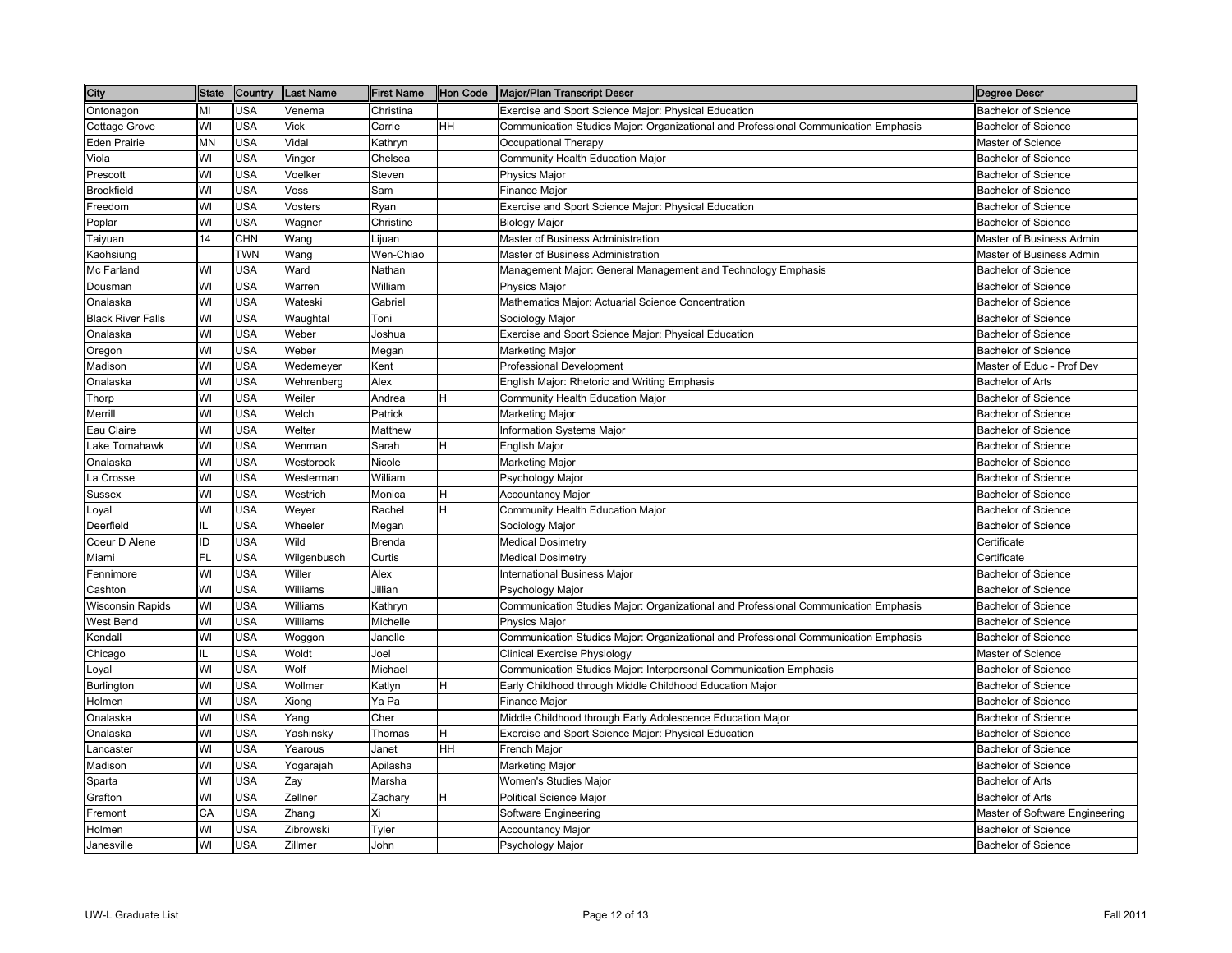| City                     | <b>State</b> | Country    | Last Name   | <b>First Name</b> | Hon Code | Major/Plan Transcript Descr                                                         | Degree Descr                   |
|--------------------------|--------------|------------|-------------|-------------------|----------|-------------------------------------------------------------------------------------|--------------------------------|
| Ontonagon                | МΙ           | <b>USA</b> | Venema      | Christina         |          | Exercise and Sport Science Major: Physical Education                                | <b>Bachelor of Science</b>     |
| Cottage Grove            | WI           | USA        | Vick        | Carrie            | HH.      | Communication Studies Major: Organizational and Professional Communication Emphasis | <b>Bachelor of Science</b>     |
| <b>Eden Prairie</b>      | MΝ           | <b>USA</b> | Vidal       | Kathryn           |          | Occupational Therapy                                                                | Master of Science              |
| Viola                    | WI           | <b>USA</b> | Vinger      | Chelsea           |          | Community Health Education Major                                                    | <b>Bachelor of Science</b>     |
| Prescott                 | WI           | <b>USA</b> | Voelker     | Steven            |          | Physics Major                                                                       | <b>Bachelor of Science</b>     |
| <b>Brookfield</b>        | WI           | <b>USA</b> | Voss        | Sam               |          | Finance Major                                                                       | <b>Bachelor of Science</b>     |
| Freedom                  | WI           | <b>USA</b> | Vosters     | Ryan              |          | Exercise and Sport Science Major: Physical Education                                | <b>Bachelor of Science</b>     |
| Poplar                   | WI           | <b>USA</b> | Wagner      | Christine         |          | <b>Biology Major</b>                                                                | <b>Bachelor of Science</b>     |
| Taiyuan                  | 14           | <b>CHN</b> | Wang        | Lijuan            |          | Master of Business Administration                                                   | Master of Business Admin       |
| Kaohsiung                |              | <b>TWN</b> | Wang        | Wen-Chiao         |          | Master of Business Administration                                                   | Master of Business Admin       |
| Mc Farland               | WI           | <b>USA</b> | Ward        | Nathan            |          | Management Major: General Management and Technology Emphasis                        | <b>Bachelor of Science</b>     |
| Dousman                  | WI           | <b>USA</b> | Warren      | William           |          | Physics Major                                                                       | <b>Bachelor of Science</b>     |
| Onalaska                 | WI           | <b>USA</b> | Wateski     | Gabriel           |          | Mathematics Major: Actuarial Science Concentration                                  | <b>Bachelor of Science</b>     |
| <b>Black River Falls</b> | WI           | <b>USA</b> | Waughtal    | Toni              |          | Sociology Major                                                                     | <b>Bachelor of Science</b>     |
| Onalaska                 | WI           | <b>USA</b> | Weber       | Joshua            |          | Exercise and Sport Science Major: Physical Education                                | <b>Bachelor of Science</b>     |
| Oregon                   | WI           | <b>USA</b> | Weber       | Megan             |          | <b>Marketing Major</b>                                                              | <b>Bachelor of Science</b>     |
| Madison                  | WI           | <b>USA</b> | Wedemeyer   | Kent              |          | <b>Professional Development</b>                                                     | Master of Educ - Prof Dev      |
| Onalaska                 | WI           | <b>USA</b> | Wehrenberg  | Alex              |          | English Major: Rhetoric and Writing Emphasis                                        | <b>Bachelor of Arts</b>        |
| Thorp                    | WI           | <b>USA</b> | Weiler      | Andrea            |          | Community Health Education Major                                                    | <b>Bachelor of Science</b>     |
| Merrill                  | WI           | USA        | Welch       | Patrick           |          | Marketing Major                                                                     | <b>Bachelor of Science</b>     |
| Eau Claire               | WI           | USA        | Welter      | Matthew           |          | Information Systems Major                                                           | <b>Bachelor of Science</b>     |
| Lake Tomahawk            | WI           | <b>USA</b> | Wenman      | Sarah             |          | English Major                                                                       | <b>Bachelor of Science</b>     |
| Onalaska                 | WI           | USA        | Westbrook   | Nicole            |          | Marketing Major                                                                     | <b>Bachelor of Science</b>     |
| La Crosse                | WI           | <b>USA</b> | Westerman   | William           |          | Psychology Major                                                                    | <b>Bachelor of Science</b>     |
| Sussex                   | WI           | <b>USA</b> | Westrich    | Monica            | н        | <b>Accountancy Major</b>                                                            | <b>Bachelor of Science</b>     |
| Loyal                    | WI           | <b>USA</b> | Weyer       | Rachel            | H        | Community Health Education Major                                                    | <b>Bachelor of Science</b>     |
| Deerfield                | IL.          | <b>USA</b> | Wheeler     | Megan             |          | Sociology Major                                                                     | <b>Bachelor of Science</b>     |
| Coeur D Alene            | ID           | <b>USA</b> | Wild        | <b>Brenda</b>     |          | <b>Medical Dosimetry</b>                                                            | Certificate                    |
| Miami                    | FL           | <b>USA</b> | Wilgenbusch | Curtis            |          | <b>Medical Dosimetry</b>                                                            | Certificate                    |
| Fennimore                | WI           | <b>USA</b> | Willer      | Alex              |          | International Business Major                                                        | <b>Bachelor of Science</b>     |
| Cashton                  | WI           | <b>USA</b> | Williams    | Jillian           |          | Psychology Major                                                                    | <b>Bachelor of Science</b>     |
| <b>Wisconsin Rapids</b>  | WI           | <b>USA</b> | Williams    | Kathryn           |          | Communication Studies Major: Organizational and Professional Communication Emphasis | <b>Bachelor of Science</b>     |
| West Bend                | WI           | <b>USA</b> | Williams    | Michelle          |          | <b>Physics Major</b>                                                                | <b>Bachelor of Science</b>     |
| Kendall                  | WI           | <b>USA</b> | Woggon      | Janelle           |          | Communication Studies Major: Organizational and Professional Communication Emphasis | <b>Bachelor of Science</b>     |
| Chicago                  |              | USA        | Woldt       | Joel              |          | <b>Clinical Exercise Physiology</b>                                                 | Master of Science              |
| Loyal                    | WI           | <b>USA</b> | Wolf        | Michael           |          | Communication Studies Major: Interpersonal Communication Emphasis                   | <b>Bachelor of Science</b>     |
| Burlington               | WI           | <b>USA</b> | Wollmer     | Katlyn            | н        | Early Childhood through Middle Childhood Education Major                            | <b>Bachelor of Science</b>     |
| Holmen                   | WI           | <b>USA</b> | Xiong       | Ya Pa             |          | Finance Major                                                                       | <b>Bachelor of Science</b>     |
| Onalaska                 | WI           | <b>USA</b> | Yang        | Cher              |          | Middle Childhood through Early Adolescence Education Major                          | <b>Bachelor of Science</b>     |
| Onalaska                 | WI           | <b>USA</b> | Yashinsky   | Thomas            | H        | Exercise and Sport Science Major: Physical Education                                | <b>Bachelor of Science</b>     |
| Lancaster                | WI           | <b>USA</b> | Yearous     | Janet             | HН       | French Major                                                                        | <b>Bachelor of Science</b>     |
| Madison                  | WI           | <b>USA</b> | Yogarajah   | Apilasha          |          | Marketing Major                                                                     | <b>Bachelor of Science</b>     |
| Sparta                   | WI           | <b>USA</b> | Zay         | Marsha            |          | Women's Studies Major                                                               | Bachelor of Arts               |
| Grafton                  | WI           | <b>USA</b> | Zellner     | Zachary           | H        | <b>Political Science Major</b>                                                      | Bachelor of Arts               |
| Fremont                  | CA           | <b>USA</b> | Zhang       | Χi                |          | Software Engineering                                                                | Master of Software Engineering |
| Holmen                   | WI           | USA        | Zibrowski   | Tyler             |          | <b>Accountancy Major</b>                                                            | <b>Bachelor of Science</b>     |
| Janesville               | WI           | USA        | Zillmer     | John              |          | Psychology Major                                                                    | <b>Bachelor of Science</b>     |